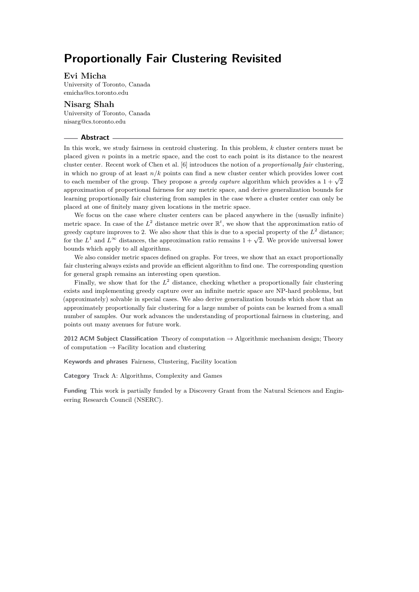### **Evi Micha**

University of Toronto, Canada [emicha@cs.toronto.edu](mailto:emicha@cs.toronto.edu)

**Nisarg Shah** University of Toronto, Canada [nisarg@cs.toronto.edu](mailto:nisarg@cs.toronto.edu)

#### **Abstract**

In this work, we study fairness in centroid clustering. In this problem, *k* cluster centers must be placed given *n* points in a metric space, and the cost to each point is its distance to the nearest cluster center. Recent work of Chen et al. [\[6\]](#page-13-0) introduces the notion of a *proportionally fair* clustering, in which no group of at least *n/k* points can find a new cluster center which provides lower cost to each member of the group. They propose a *greedy capture* algorithm which provides a  $1 + \sqrt{2}$ approximation of proportional fairness for any metric space, and derive generalization bounds for learning proportionally fair clustering from samples in the case where a cluster center can only be placed at one of finitely many given locations in the metric space.

We focus on the case where cluster centers can be placed anywhere in the (usually infinite) metric space. In case of the  $L^2$  distance metric over  $\mathbb{R}^t$ , we show that the approximation ratio of greedy capture improves to 2. We also show that this is due to a special property of the  $L^2$  distance; for the *L*<sup>1</sup> and *L*<sup>∞</sup> distances, the approximation ratio remains  $1 + \sqrt{2}$ . We provide universal lower bounds which apply to all algorithms.

We also consider metric spaces defined on graphs. For trees, we show that an exact proportionally fair clustering always exists and provide an efficient algorithm to find one. The corresponding question for general graph remains an interesting open question.

Finally, we show that for the  $L^2$  distance, checking whether a proportionally fair clustering exists and implementing greedy capture over an infinite metric space are NP-hard problems, but (approximately) solvable in special cases. We also derive generalization bounds which show that an approximately proportionally fair clustering for a large number of points can be learned from a small number of samples. Our work advances the understanding of proportional fairness in clustering, and points out many avenues for future work.

**2012 ACM Subject Classification** Theory of computation → Algorithmic mechanism design; Theory of computation  $\rightarrow$  Facility location and clustering

**Keywords and phrases** Fairness, Clustering, Facility location

**Category** Track A: Algorithms, Complexity and Games

**Funding** This work is partially funded by a Discovery Grant from the Natural Sciences and Engineering Research Council (NSERC).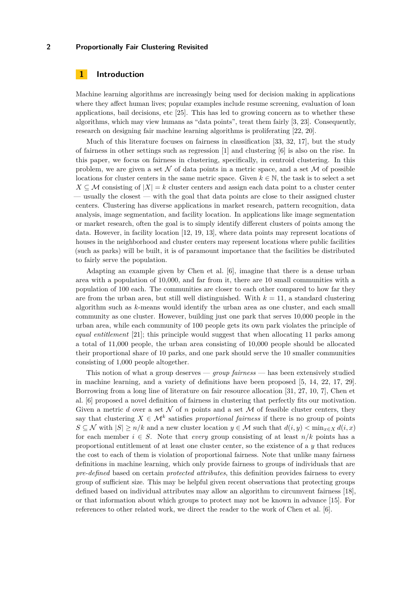# **1 Introduction**

Machine learning algorithms are increasingly being used for decision making in applications where they affect human lives; popular examples include resume screening, evaluation of loan applications, bail decisions, etc [\[25\]](#page-14-0). This has led to growing concern as to whether these algorithms, which may view humans as "data points", treat them fairly [\[3,](#page-13-1) [23\]](#page-14-1). Consequently, research on designing fair machine learning algorithms is proliferating [\[22,](#page-14-2) [20\]](#page-14-3).

Much of this literature focuses on fairness in classification [\[33,](#page-14-4) [32,](#page-14-5) [17\]](#page-13-2), but the study of fairness in other settings such as regression [\[1\]](#page-13-3) and clustering [\[6\]](#page-13-0) is also on the rise. In this paper, we focus on fairness in clustering, specifically, in centroid clustering. In this problem, we are given a set  $\mathcal N$  of data points in a metric space, and a set  $\mathcal M$  of possible locations for cluster centers in the same metric space. Given  $k \in \mathbb{N}$ , the task is to select a set  $X \subseteq \mathcal{M}$  consisting of  $|X| = k$  cluster centers and assign each data point to a cluster center — usually the closest — with the goal that data points are close to their assigned cluster centers. Clustering has diverse applications in market research, pattern recognition, data analysis, image segmentation, and facility location. In applications like image segmentation or market research, often the goal is to simply identify different clusters of points among the data. However, in facility location [\[12,](#page-13-4) [19,](#page-13-5) [13\]](#page-13-6), where data points may represent locations of houses in the neighborhood and cluster centers may represent locations where public facilities (such as parks) will be built, it is of paramount importance that the facilities be distributed to fairly serve the population.

Adapting an example given by Chen et al. [\[6\]](#page-13-0), imagine that there is a dense urban area with a population of 10*,*000, and far from it, there are 10 small communities with a population of 100 each. The communities are closer to each other compared to how far they are from the urban area, but still well distinguished. With  $k = 11$ , a standard clustering algorithm such as *k*-means would identify the urban area as one cluster, and each small community as one cluster. However, building just one park that serves 10*,*000 people in the urban area, while each community of 100 people gets its own park violates the principle of *equal entitlement* [\[21\]](#page-14-6); this principle would suggest that when allocating 11 parks among a total of 11*,*000 people, the urban area consisting of 10*,*000 people should be allocated their proportional share of 10 parks, and one park should serve the 10 smaller communities consisting of 1*,*000 people altogether.

This notion of what a group deserves — *group fairness* — has been extensively studied in machine learning, and a variety of definitions have been proposed [\[5,](#page-13-7) [14,](#page-13-8) [22,](#page-14-2) [17,](#page-13-2) [29\]](#page-14-7). Borrowing from a long line of literature on fair resource allocation [\[31,](#page-14-8) [27,](#page-14-9) [10,](#page-13-9) [7\]](#page-13-10), Chen et al. [\[6\]](#page-13-0) proposed a novel definition of fairness in clustering that perfectly fits our motivation. Given a metric *d* over a set N of *n* points and a set M of feasible cluster centers, they say that clustering  $X \in \mathcal{M}^k$  satisfies *proportional fairness* if there is no group of points *S* ⊆ N with  $|S|$  > *n*/*k* and a new cluster location *y* ∈ M such that  $d(i, y)$  < min<sub>*x*∈</sub> *x*  $d(i, x)$ for each member  $i \in S$ . Note that *every* group consisting of at least  $n/k$  points has a proportional entitlement of at least one cluster center, so the existence of a *y* that reduces the cost to each of them is violation of proportional fairness. Note that unlike many fairness definitions in machine learning, which only provide fairness to groups of individuals that are *pre-defined* based on certain *protected attributes*, this definition provides fairness to every group of sufficient size. This may be helpful given recent observations that protecting groups defined based on individual attributes may allow an algorithm to circumvent fairness [\[18\]](#page-13-11), or that information about which groups to protect may not be known in advance [\[15\]](#page-13-12). For references to other related work, we direct the reader to the work of Chen et al. [\[6\]](#page-13-0).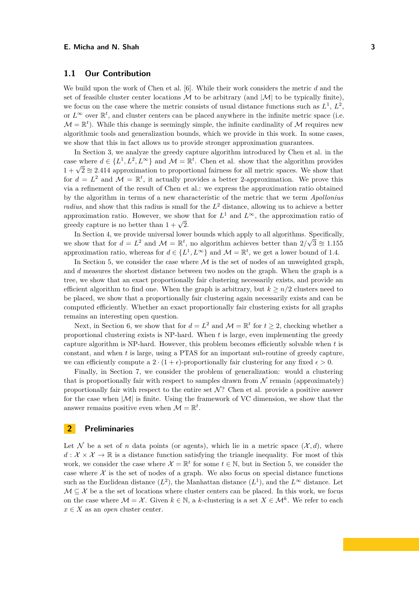# **1.1 Our Contribution**

We build upon the work of Chen et al. [\[6\]](#page-13-0). While their work considers the metric *d* and the set of feasible cluster center locations  $\mathcal M$  to be arbitrary (and  $|\mathcal M|$  to be typically finite), we focus on the case where the metric consists of usual distance functions such as  $L^1$ ,  $L^2$ , or  $L^{\infty}$  over  $\mathbb{R}^t$ , and cluster centers can be placed anywhere in the infinite metric space (i.e.  $\mathcal{M} = \mathbb{R}^t$ ). While this change is seemingly simple, the infinite cardinality of  $\mathcal{M}$  requires new algorithmic tools and generalization bounds, which we provide in this work. In some cases, we show that this in fact allows us to provide stronger approximation guarantees.

In Section [3,](#page-3-0) we analyze the greedy capture algorithm introduced by Chen et al. in the case where  $d \in \{L^1, L^2, L^{\infty}\}\$  and  $\mathcal{M} = \mathbb{R}^t$ . Chen et al. show that the algorithm provides  $1 + \sqrt{2} \approx 2.414$  approximation to proportional fairness for all metric spaces. We show that for  $d = L^2$  and  $\mathcal{M} = \mathbb{R}^t$ , it actually provides a better 2-approximation. We prove this via a refinement of the result of Chen et al.: we express the approximation ratio obtained by the algorithm in terms of a new characteristic of the metric that we term *Apollonius radius*, and show that this radius is small for the *L* <sup>2</sup> distance, allowing us to achieve a better approximation ratio. However, we show that for  $L^1$  and  $L^{\infty}$ , the approximation ratio of approximation ratio. However, we show<br>greedy capture is no better than  $1 + \sqrt{2}$ .

In Section [4,](#page-5-0) we provide universal lower bounds which apply to all algorithms. Specifically, we show that for  $d = L^2$  and  $\mathcal{M} = \mathbb{R}^t$ , no algorithm achieves better than  $2/\sqrt{3} \approx 1.155$ approximation ratio, whereas for  $d \in \{L^1, L^\infty\}$  and  $\mathcal{M} = \mathbb{R}^t$ , we get a lower bound of 1.4.

In Section [5,](#page-5-1) we consider the case where  $\mathcal M$  is the set of nodes of an unweighted graph, and *d* measures the shortest distance between two nodes on the graph. When the graph is a tree, we show that an exact proportionally fair clustering necessarily exists, and provide an efficient algorithm to find one. When the graph is arbitrary, but  $k > n/2$  clusters need to be placed, we show that a proportionally fair clustering again necessarily exists and can be computed efficiently. Whether an exact proportionally fair clustering exists for all graphs remains an interesting open question.

Next, in Section [6,](#page-7-0) we show that for  $d = L^2$  and  $\mathcal{M} = \mathbb{R}^t$  for  $t \geq 2$ , checking whether a proportional clustering exists is NP-hard. When *t* is large, even implementing the greedy capture algorithm is NP-hard. However, this problem becomes efficiently solvable when *t* is constant, and when *t* is large, using a PTAS for an important sub-routine of greedy capture, we can efficiently compute a 2  $\cdot$  (1 +  $\epsilon$ )-proportionally fair clustering for any fixed  $\epsilon > 0$ .

Finally, in Section [7,](#page-11-0) we consider the problem of generalization: would a clustering that is proportionally fair with respect to samples drawn from  $N$  remain (approximately) proportionally fair with respect to the entire set  $\mathcal{N}$ ? Chen et al. provide a positive answer for the case when  $|M|$  is finite. Using the framework of VC dimension, we show that the answer remains positive even when  $\mathcal{M} = \mathbb{R}^t$ .

### **2 Preliminaries**

Let N be a set of *n* data points (or agents), which lie in a metric space  $(\mathcal{X}, d)$ , where  $d: \mathcal{X} \times \mathcal{X} \to \mathbb{R}$  is a distance function satisfying the triangle inequality. For most of this work, we consider the case where  $\mathcal{X} = \mathbb{R}^t$  for some  $t \in \mathbb{N}$ , but in Section [5,](#page-5-1) we consider the case where  $\mathcal X$  is the set of nodes of a graph. We also focus on special distance functions such as the Euclidean distance  $(L^2)$ , the Manhattan distance  $(L^1)$ , and the  $L^{\infty}$  distance. Let  $\mathcal{M} \subseteq \mathcal{X}$  be a the set of locations where cluster centers can be placed. In this work, we focus on the case where  $\mathcal{M} = \mathcal{X}$ . Given  $k \in \mathbb{N}$ , a *k*-clustering is a set  $X \in \mathcal{M}^k$ . We refer to each  $x \in X$  as an *open* cluster center.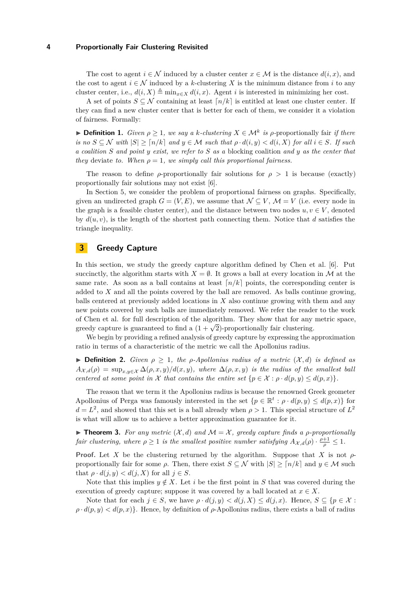The cost to agent  $i \in \mathcal{N}$  induced by a cluster center  $x \in \mathcal{M}$  is the distance  $d(i, x)$ , and the cost to agent  $i \in \mathcal{N}$  induced by a *k*-clustering X is the minimum distance from *i* to any cluster center, i.e.,  $d(i, X) \triangleq \min_{x \in X} d(i, x)$ . Agent *i* is interested in minimizing her cost.

A set of points  $S \subseteq \mathcal{N}$  containing at least  $\lceil n/k \rceil$  is entitled at least one cluster center. If they can find a new cluster center that is better for each of them, we consider it a violation of fairness. Formally:

 $▶$  **Definition 1.** *Given*  $ρ ≥ 1$ *, we say a k-clustering*  $X ∈ M^k$  *is*  $ρ$ -proportionally fair *if there*  $i\sinh(S) \leq N$  *with*  $|S| \geq \lceil n/k \rceil$  *and*  $y \in M$  *such that*  $\rho \cdot d(i, y) < d(i, X)$  *for all*  $i \in S$ *. If such a coalition S and point y exist, we refer to S as a* blocking coalition *and y as the center that they* deviate *to.* When  $\rho = 1$ *, we simply call this proportional fairness.* 

The reason to define *ρ*-proportionally fair solutions for  $\rho > 1$  is because (exactly) proportionally fair solutions may not exist [\[6\]](#page-13-0).

In Section [5,](#page-5-1) we consider the problem of proportional fairness on graphs. Specifically, given an undirected graph  $G = (V, E)$ , we assume that  $\mathcal{N} \subseteq V$ ,  $\mathcal{M} = V$  (i.e. every node in the graph is a feasible cluster center), and the distance between two nodes  $u, v \in V$ , denoted by  $d(u, v)$ , is the length of the shortest path connecting them. Notice that  $d$  satisfies the triangle inequality.

# <span id="page-3-0"></span>**3 Greedy Capture**

In this section, we study the greedy capture algorithm defined by Chen et al. [\[6\]](#page-13-0). Put succinctly, the algorithm starts with  $X = \emptyset$ . It grows a ball at every location in M at the same rate. As soon as a ball contains at least  $\lceil n/k \rceil$  points, the corresponding center is added to *X* and all the points covered by the ball are removed. As balls continue growing, balls centered at previously added locations in *X* also continue growing with them and any new points covered by such balls are immediately removed. We refer the reader to the work of Chen et al. for full description of the algorithm. They show that for any metric space, or Chen et al. for fun description of the algorithm. They show that for any greedy capture is guaranteed to find a  $(1 + \sqrt{2})$ -proportionally fair clustering.

We begin by providing a refined analysis of greedy capture by expressing the approximation ratio in terms of a characteristic of the metric we call the Apollonius radius.

 $\triangleright$  **Definition 2.** *Given*  $\rho \geq 1$ *, the*  $\rho$ -*Apollonius radius of a metric*  $(X, d)$  *is defined as*  $A_{\mathcal{X},d}(\rho) = \sup_{x,y \in \mathcal{X}} \Delta(\rho,x,y)/d(x,y)$ , where  $\Delta(\rho,x,y)$  *is the radius of the smallest ball centered at some point in* X *that contains the entire set*  $\{p \in \mathcal{X} : \rho \cdot d(p, y) \leq d(p, x)\}.$ 

The reason that we term it the Apollonius radius is because the renowned Greek geometer Apollonius of Perga was famously interested in the set  $\{p \in \mathbb{R}^t : \rho \cdot d(p, y) \leq d(p, x)\}\)$  for  $d = L^2$ , and showed that this set is a ball already when  $\rho > 1$ . This special structure of  $L^2$ is what will allow us to achieve a better approximation guarantee for it.

<span id="page-3-1"></span>**Findmen 3.** For any metric  $(X, d)$  and  $\mathcal{M} = \mathcal{X}$ , greedy capture finds a *ρ*-proportionally *fair clustering, where*  $\rho \ge 1$  *is the smallest positive number satisfying*  $A_{\mathcal{X},d}(\rho) \cdot \frac{\rho+1}{\rho} \le 1$ *.* 

**Proof.** Let *X* be the clustering returned by the algorithm. Suppose that *X* is not *ρ*proportionally fair for some  $\rho$ . Then, there exist  $S \subseteq \mathcal{N}$  with  $|S| \geq \lceil n/k \rceil$  and  $y \in \mathcal{M}$  such that  $\rho \cdot d(j, y) < d(j, X)$  for all  $j \in S$ .

Note that this implies  $y \notin X$ . Let *i* be the first point in *S* that was covered during the execution of greedy capture; suppose it was covered by a ball located at  $x \in X$ .

Note that for each  $j \in S$ , we have  $\rho \cdot d(j, y) < d(j, X) \leq d(j, x)$ . Hence,  $S \subseteq \{p \in \mathcal{X}$ :  $\rho \cdot d(p, y) < d(p, x)$ . Hence, by definition of  $\rho$ -Apollonius radius, there exists a ball of radius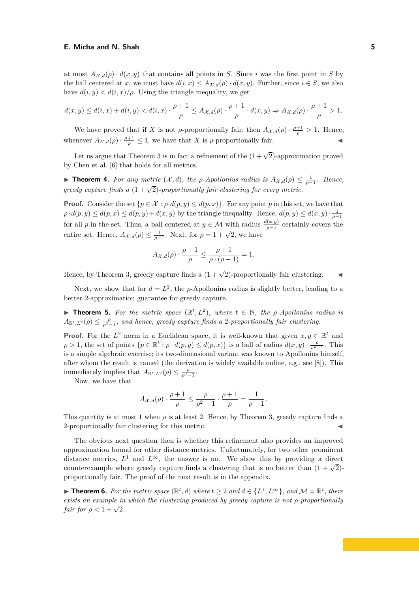at most  $A_{\mathcal{X},d}(\rho) \cdot d(x,y)$  that contains all points in *S*. Since *i* was the first point in *S* by the ball centered at *x*, we must have  $d(i, x) \leq A_{\mathcal{X},d}(\rho) \cdot d(x, y)$ . Further, since  $i \in S$ , we also have  $d(i, y) < d(i, x)/\rho$ . Using the triangle inequality, we get

$$
d(x,y) \le d(i,x) + d(i,y) < d(i,x) \cdot \frac{\rho+1}{\rho} \le A_{\mathcal{X},d}(\rho) \cdot \frac{\rho+1}{\rho} \cdot d(x,y) \Rightarrow A_{\mathcal{X},d}(\rho) \cdot \frac{\rho+1}{\rho} > 1.
$$

We have proved that if *X* is not *ρ*-proportionally fair, then  $A_{\mathcal{X},d}(\rho) \cdot \frac{\rho+1}{\rho} > 1$ . Hence, whenever  $A_{\mathcal{X},d}(\rho) \cdot \frac{\rho+1}{\rho} \leq 1$ , we have that *X* is  $\rho$ -proportionally fair.

Let us argue that Theorem [3](#page-3-1) is in fact a refinement of the  $(1 + \sqrt{2})$ -approximation proved by Chen et al. [\[6\]](#page-13-0) that holds for all metrics.

**► Theorem 4.** *For any metric*  $(X, d)$ *, the*  $\rho$ *-Apollonius radius is*  $A_{X, d}(\rho) \leq \frac{1}{\rho-1}$ *. Hence, greedy capture finds a*  $(1 + \sqrt{2})$ *-proportionally fair clustering for every metric.* 

**Proof.** Consider the set  $\{p \in \mathcal{X} : \rho \cdot d(p, y) \leq d(p, x)\}\$ . For any point *p* in this set, we have that  $\rho \cdot d(p, y) \leq d(p, x) \leq d(p, y) + d(x, y)$  by the triangle inequality. Hence,  $d(p, y) \leq d(x, y) \cdot \frac{1}{\rho - 1}$ for all *p* in the set. Thus, a ball centered at  $y \in \mathcal{M}$  with radius  $\frac{d(x,y)}{\rho-1}$  certainly covers the entire set. Hence,  $A_{\mathcal{X},d}(\rho) \leq \frac{1}{\rho-1}$ . Next, for  $\rho = 1 + \sqrt{2}$ , we have

$$
A_{\mathcal{X},d}(\rho) \cdot \frac{\rho+1}{\rho} \le \frac{\rho+1}{\rho \cdot (\rho-1)} = 1.
$$

Hence, by Theorem [3,](#page-3-1) greedy capture finds a  $(1 + \sqrt{2})$ -proportionally fair clustering.

Next, we show that for  $d = L^2$ , the *ρ*-Apollonius radius is slightly better, leading to a better 2-approximation guarantee for greedy capture.

<span id="page-4-0"></span>**► Theorem 5.** For the metric space  $(\mathbb{R}^t, L^2)$ , where  $t \in \mathbb{N}$ , the *ρ*-Apollonius radius is  $A_{\mathbb{R}^t,L^2}(\rho) \leq \frac{\rho}{\rho^2-1}$ , and hence, greedy capture finds a 2*-proportionally fair clustering.* 

**Proof.** For the  $L^2$  norm in a Euclidean space, it is well-known that given  $x, y \in \mathbb{R}^t$  and  $\rho > 1$ , the set of points  $\{p \in \mathbb{R}^t : \rho \cdot d(p, y) \leq d(p, x)\}$  is a ball of radius  $d(x, y) \cdot \frac{\rho}{\rho^2 - 1}$ . This is a simple algebraic exercise; its two-dimensional variant was known to Apollonius himself, after whom the result is named (the derivation is widely available online, e.g., see [\[8\]](#page-13-13)). This immediately implies that  $A_{\mathbb{R}^t,L^2}(\rho) \leq \frac{\rho}{\rho^2-1}$ .

Now, we have that

$$
A_{\mathcal{X},d}(\rho) \cdot \frac{\rho+1}{\rho} \le \frac{\rho}{\rho^2 - 1} \cdot \frac{\rho+1}{\rho} = \frac{1}{\rho - 1}.
$$

This quantity is at most 1 when  $\rho$  is at least 2. Hence, by Theorem [3,](#page-3-1) greedy capture finds a 2-proportionally fair clustering for this metric.

The obvious next question then is whether this refinement also provides an improved approximation bound for other distance metrics. Unfortunately, for two other prominent distance metrics,  $L^1$  and  $L^{\infty}$ , the answer is no. We show this by providing a direct counterexample where greedy capture finds a clustering that is no better than  $(1 + \sqrt{2})$ proportionally fair. The proof of the next result is in the appendix.

<span id="page-4-1"></span>▶ **Theorem 6.** For the metric space  $(\mathbb{R}^t, d)$  where  $t \geq 2$  and  $d \in \{L^1, L^{\infty}\}\$ , and  $\mathcal{M} = \mathbb{R}^t$ , there *exists an example in which the clustering produced by greedy capture is not ρ-proportionally fair for*  $\rho < 1 + \sqrt{2}$ .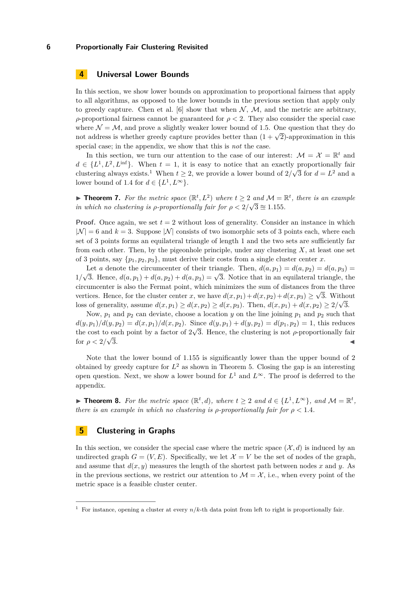# <span id="page-5-0"></span>**4 Universal Lower Bounds**

In this section, we show lower bounds on approximation to proportional fairness that apply to all algorithms, as opposed to the lower bounds in the previous section that apply only to greedy capture. Chen et al. [\[6\]](#page-13-0) show that when  $\mathcal{N}, \mathcal{M}$ , and the metric are arbitrary, *ρ*-proportional fairness cannot be guaranteed for  $ρ < 2$ . They also consider the special case where  $\mathcal{N} = \mathcal{M}$ , and prove a slightly weaker lower bound of 1.5. One question that they do where  $\mathcal{N} = \mathcal{N}$ , and prove a sughtly weaker lower bound of 1.5. One question that they do<br>not address is whether greedy capture provides better than  $(1 + \sqrt{2})$ -approximation in this special case; in the appendix, we show that this is *not* the case.

In this section, we turn our attention to the case of our interest:  $\mathcal{M} = \mathcal{X} = \mathbb{R}^t$  and  $d \in \{L^1, L^2, L^{\text{inf}}\}.$  When  $t = 1$ , it is easy to notice that an exactly proportionally fair clustering always exists.<sup>[1](#page-5-2)</sup> When  $t \geq 2$ , we provide a lower bound of  $2/\sqrt{3}$  for  $d = L^2$  and a lower bound of 1.4 for  $d \in \{L^1, L^{\infty}\}.$ 

<span id="page-5-4"></span>**► Theorem 7.** For the metric space  $(\mathbb{R}^t, L^2)$  where  $t \geq 2$  and  $\mathcal{M} = \mathbb{R}^t$ , there is an example *in which no clustering is*  $\rho$ *-proportionally fair for*  $\rho < 2/\sqrt{3} \approx 1.155$ .

**Proof.** Once again, we set  $t = 2$  without loss of generality. Consider an instance in which  $|\mathcal{N}| = 6$  and  $k = 3$ . Suppose  $|\mathcal{N}|$  consists of two isomorphic sets of 3 points each, where each set of 3 points forms an equilateral triangle of length 1 and the two sets are sufficiently far from each other. Then, by the pigeonhole principle, under any clustering *X*, at least one set of 3 points, say  $\{p_1, p_2, p_3\}$ , must derive their costs from a single cluster center *x*.

Let *a* denote the circumcenter of their triangle. Then,  $d(a, p_1) = d(a, p_2) = d(a, p_3)$ 1*/* Let *a* denote the circumcenter of their triangle. Then,  $a(a, p_1) = a(a, p_2) = a(a, p_3) = \sqrt{3}$ . Hence,  $d(a, p_1) + d(a, p_2) + d(a, p_3) = \sqrt{3}$ . Notice that in an equilateral triangle, the circumcenter is also the Fermat point, which minimizes the sum of distances from the three vertices. Hence, for the cluster center *x*, we have  $d(x, p_1) + d(x, p_2) + d(x, p_3) \ge \sqrt{3}$ . Without loss of generality, assume  $d(x, p_1) \ge d(x, p_2) \ge d(x, p_3)$ . Then,  $d(x, p_1) + d(x, p_2) \ge 2/\sqrt{3}$ .

Now,  $p_1$  and  $p_2$  can deviate, choose a location *y* on the line joining  $p_1$  and  $p_2$  such that  $d(y, p_1)/d(y, p_2) = d(x, p_1)/d(x, p_2)$ . Since  $d(y, p_1) + d(y, p_2) = d(p_1, p_2) = 1$ , this reduces the cost to each point by a factor of  $2\sqrt{3}$ . Hence, the clustering is not *ρ*-proportionally fair for  $\rho < 2/\sqrt{3}$ .  $\overline{3}$ .

Note that the lower bound of 1*.*155 is significantly lower than the upper bound of 2 obtained by greedy capture for  $L^2$  as shown in Theorem [5.](#page-4-0) Closing the gap is an interesting open question. Next, we show a lower bound for  $L^1$  and  $L^{\infty}$ . The proof is deferred to the appendix.

<span id="page-5-3"></span>▶ **Theorem 8.** For the metric space  $(\mathbb{R}^t, d)$ , where  $t \geq 2$  and  $d \in \{L^1, L^{\infty}\}$ , and  $\mathcal{M} = \mathbb{R}^t$ , *there is an example in which no clustering is*  $\rho$ *-proportionally fair for*  $\rho < 1.4$ *.* 

# <span id="page-5-1"></span>**5 Clustering in Graphs**

In this section, we consider the special case where the metric space  $(\mathcal{X}, d)$  is induced by an undirected graph  $G = (V, E)$ . Specifically, we let  $\mathcal{X} = V$  be the set of nodes of the graph, and assume that  $d(x, y)$  measures the length of the shortest path between nodes x and y. As in the previous sections, we restrict our attention to  $\mathcal{M} = \mathcal{X}$ , i.e., when every point of the metric space is a feasible cluster center.

<span id="page-5-2"></span><sup>&</sup>lt;sup>1</sup> For instance, opening a cluster at every  $n/k$ -th data point from left to right is proportionally fair.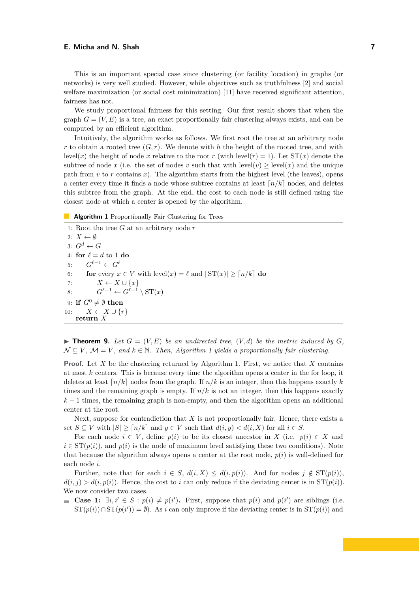This is an important special case since clustering (or facility location) in graphs (or networks) is very well studied. However, while objectives such as truthfulness [\[2\]](#page-13-14) and social welfare maximization (or social cost minimization) [\[11\]](#page-13-15) have received significant attention, fairness has not.

We study proportional fairness for this setting. Our first result shows that when the graph  $G = (V, E)$  is a tree, an exact proportionally fair clustering always exists, and can be computed by an efficient algorithm.

Intuitively, the algorithm works as follows. We first root the tree at an arbitrary node *r* to obtain a rooted tree  $(G, r)$ . We denote with *h* the height of the rooted tree, and with level(*x*) the height of node *x* relative to the root *r* (with level(*r*) = 1). Let  $ST(x)$  denote the subtree of node x (i.e. the set of nodes v such that with  $\text{level}(v) \geq \text{level}(x)$  and the unique path from  $v$  to  $r$  contains  $x$ ). The algorithm starts from the highest level (the leaves), opens a center every time it finds a node whose subtree contains at least  $n/k$  nodes, and deletes this subtree from the graph. At the end, the cost to each node is still defined using the closest node at which a center is opened by the algorithm.

#### <span id="page-6-0"></span>**Algorithm 1** Proportionally Fair Clustering for Trees

1: Root the tree *G* at an arbitrary node *r* 2:  $X \leftarrow \emptyset$ 3:  $G^d \leftarrow G$ 4: **for**  $\ell = d$  to 1 **do** 5:  $G^{\ell-1} \leftarrow G^{\ell}$ 6: **for** every  $x \in V$  with level $(x) = \ell$  and  $|ST(x)| > [n/k]$  do 7:  $X \leftarrow X \cup \{x\}$ 8:  $G^{\ell-1} \leftarrow G^{\ell-1} \setminus \operatorname{ST}(x)$ 9: **if**  $G^0 \neq \emptyset$  **then** 10:  $X \leftarrow X \cup \{r\}$ **return** *X*

 $\blacktriangleright$  **Theorem 9.** Let  $G = (V, E)$  be an undirected tree,  $(V, d)$  be the metric induced by  $G$ ,  $\mathcal{N} \subseteq V$ ,  $\mathcal{M} = V$ , and  $k \in \mathbb{N}$ . Then, Algorithm [1](#page-6-0) yields a proportionally fair clustering.

**Proof.** Let *X* be the clustering returned by Algorithm [1.](#page-6-0) First, we notice that *X* contains at most *k* centers. This is because every time the algorithm opens a center in the for loop, it deletes at least  $\lceil n/k \rceil$  nodes from the graph. If  $n/k$  is an integer, then this happens exactly *k* times and the remaining graph is empty. If  $n/k$  is not an integer, then this happens exactly  $k-1$  times, the remaining graph is non-empty, and then the algorithm opens an additional center at the root.

Next, suppose for contradiction that *X* is not proportionally fair. Hence, there exists a set  $S \subseteq V$  with  $|S| \geq \lceil n/k \rceil$  and  $y \in V$  such that  $d(i, y) < d(i, X)$  for all  $i \in S$ .

For each node  $i \in V$ , define  $p(i)$  to be its closest ancestor in *X* (i.e.  $p(i) \in X$  and  $i \in ST(p(i))$ , and  $p(i)$  is the node of maximum level satisfying these two conditions). Note that because the algorithm always opens a center at the root node,  $p(i)$  is well-defined for each node *i*.

Further, note that for each  $i \in S$ ,  $d(i, X) \leq d(i, p(i))$ . And for nodes  $j \notin ST(p(i))$ ,  $d(i, j) > d(i, p(i))$ . Hence, the cost to *i* can only reduce if the deviating center is in  $ST(p(i))$ . We now consider two cases.

**Case 1:**  $\exists i, i' \in S : p(i) \neq p(i')$ . First, suppose that  $p(i)$  and  $p(i')$  are siblings (i.e.  $ST(p(i)) \cap ST(p(i')) = \emptyset$ . As *i* can only improve if the deviating center is in  $ST(p(i))$  and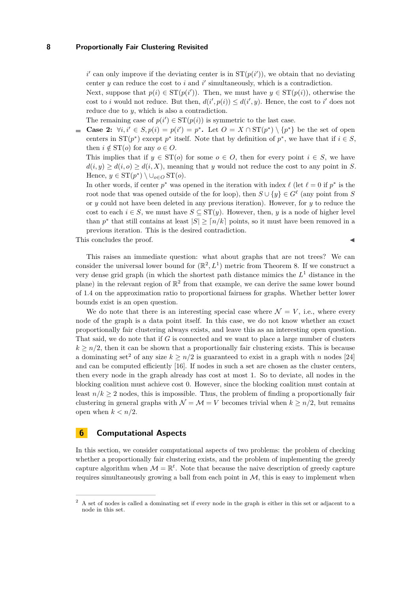$i'$  can only improve if the deviating center is in  $ST(p(i'))$ , we obtain that no deviating center  $y$  can reduce the cost to  $i$  and  $i'$  simultaneously, which is a contradiction.

Next, suppose that  $p(i) \in ST(p(i'))$ . Then, we must have  $y \in ST(p(i))$ , otherwise the cost to *i* would not reduce. But then,  $d(i', p(i)) \leq d(i', y)$ . Hence, the cost to *i*' does not reduce due to *y*, which is also a contradiction.

The remaining case of  $p(i') \in ST(p(i))$  is symmetric to the last case.

**Case 2:**  $\forall i, i' \in S, p(i) = p(i') = p^*$ . Let  $O = X \cap ST(p^*) \setminus \{p^*\}$  be the set of open centers in  $ST(p^*)$  except  $p^*$  itself. Note that by definition of  $p^*$ , we have that if  $i \in S$ , then  $i \notin ST(o)$  for any  $o \in O$ .

This implies that if  $y \in ST(o)$  for some  $o \in O$ , then for every point  $i \in S$ , we have  $d(i, y) \geq d(i, o) \geq d(i, X)$ , meaning that *y* would not reduce the cost to any point in *S*. Hence,  $y \in \mathrm{ST}(p^*) \setminus \cup_{o \in O} \mathrm{ST}(o)$ .

In other words, if center  $p^*$  was opened in the iteration with index  $\ell$  (let  $\ell = 0$  if  $p^*$  is the root node that was opened outside of the for loop), then  $S \cup \{y\} \in G^{\ell}$  (any point from *S* or *y* could not have been deleted in any previous iteration). However, for *y* to reduce the cost to each  $i \in S$ , we must have  $S \subseteq ST(y)$ . However, then, *y* is a node of higher level than  $p^*$  that still contains at least  $|S| \geq \lceil n/k \rceil$  points, so it must have been removed in a previous iteration. This is the desired contradiction.

This concludes the proof.

This raises an immediate question: what about graphs that are not trees? We can consider the universal lower bound for  $(\mathbb{R}^2, L^1)$  metric from Theorem [8.](#page-5-3) If we construct a very dense grid graph (in which the shortest path distance mimics the *L* <sup>1</sup> distance in the plane) in the relevant region of  $\mathbb{R}^2$  from that example, we can derive the same lower bound of 1*.*4 on the approximation ratio to proportional fairness for graphs. Whether better lower bounds exist is an open question.

We do note that there is an interesting special case where  $\mathcal{N} = V$ , i.e., where every node of the graph is a data point itself. In this case, we do not know whether an exact proportionally fair clustering always exists, and leave this as an interesting open question. That said, we do note that if *G* is connected and we want to place a large number of clusters  $k \geq n/2$ , then it can be shown that a proportionally fair clustering exists. This is because a dominating set<sup>[2](#page-7-1)</sup> of any size  $k \geq n/2$  is guaranteed to exist in a graph with *n* nodes [\[24\]](#page-14-10) and can be computed efficiently [\[16\]](#page-13-16). If nodes in such a set are chosen as the cluster centers, then every node in the graph already has cost at most 1. So to deviate, all nodes in the blocking coalition must achieve cost 0. However, since the blocking coalition must contain at least  $n/k \geq 2$  nodes, this is impossible. Thus, the problem of finding a proportionally fair clustering in general graphs with  $\mathcal{N} = \mathcal{M} = V$  becomes trivial when  $k \geq n/2$ , but remains open when  $k < n/2$ .

# <span id="page-7-0"></span>**6 Computational Aspects**

In this section, we consider computational aspects of two problems: the problem of checking whether a proportionally fair clustering exists, and the problem of implementing the greedy capture algorithm when  $\mathcal{M} = \mathbb{R}^t$ . Note that because the naive description of greedy capture requires simultaneously growing a ball from each point in  $M$ , this is easy to implement when

<span id="page-7-1"></span><sup>&</sup>lt;sup>2</sup> A set of nodes is called a dominating set if every node in the graph is either in this set or adjacent to a node in this set.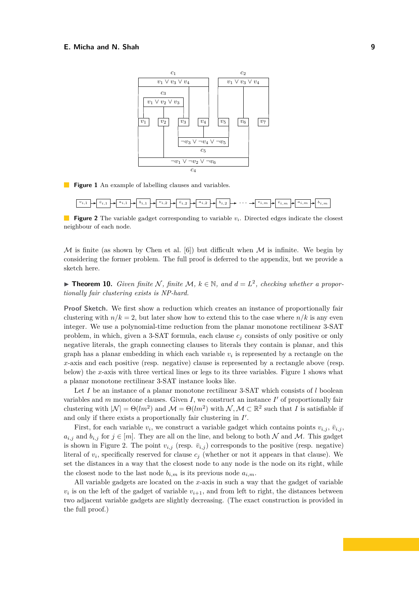<span id="page-8-0"></span>

**Figure 1** An example of labelling clauses and variables.

<span id="page-8-1"></span>

**Figure 2** The variable gadget corresponding to variable  $v_i$ . Directed edges indicate the closest neighbour of each node.

 $M$  is finite (as shown by Chen et al. [\[6\]](#page-13-0)) but difficult when  $M$  is infinite. We begin by considering the former problem. The full proof is deferred to the appendix, but we provide a sketch here.

<span id="page-8-2"></span>▶ **Theorem 10.** *Given finite*  $N$ *, finite*  $M$ *,*  $k \in \mathbb{N}$ *, and*  $d = L^2$ *, checking whether a proportionally fair clustering exists is NP-hard.*

**Proof Sketch.** We first show a reduction which creates an instance of proportionally fair clustering with  $n/k = 2$ , but later show how to extend this to the case where  $n/k$  is any even integer. We use a polynomial-time reduction from the planar monotone rectilinear 3-SAT problem, in which, given a 3-SAT formula, each clause *c<sup>j</sup>* consists of only positive or only negative literals, the graph connecting clauses to literals they contain is planar, and this graph has a planar embedding in which each variable  $v_i$  is represented by a rectangle on the *x*-axis and each positive (resp. negative) clause is represented by a rectangle above (resp. below) the *x*-axis with three vertical lines or legs to its three variables. Figure [1](#page-8-0) shows what a planar monotone rectilinear 3-SAT instance looks like.

Let *I* be an instance of a planar monotone rectilinear 3-SAT which consists of *l* boolean variables and  $m$  monotone clauses. Given  $I$ , we construct an instance  $I'$  of proportionally fair clustering with  $|\mathcal{N}| = \Theta(lm^2)$  and  $\mathcal{M} = \Theta(lm^2)$  with  $\mathcal{N}, \mathcal{M} \subset \mathbb{R}^2$  such that *I* is satisfiable if and only if there exists a proportionally fair clustering in  $I'$ .

First, for each variable  $v_i$ , we construct a variable gadget which contains points  $v_{i,j}$ ,  $\bar{v}_{i,j}$ ,  $a_{i,j}$  and  $b_{i,j}$  for  $j \in [m]$ . They are all on the line, and belong to both N and M. This gadget is shown in Figure [2.](#page-8-1) The point  $v_{i,j}$  (resp.  $\bar{v}_{i,j}$ ) corresponds to the positive (resp. negative) literal of  $v_i$ , specifically reserved for clause  $c_j$  (whether or not it appears in that clause). We set the distances in a way that the closest node to any node is the node on its right, while the closest node to the last node  $b_{i,m}$  is its previous node  $a_{i,m}$ .

All variable gadgets are located on the *x*-axis in such a way that the gadget of variable  $v_i$  is on the left of the gadget of variable  $v_{i+1}$ , and from left to right, the distances between two adjacent variable gadgets are slightly decreasing. (The exact construction is provided in the full proof.)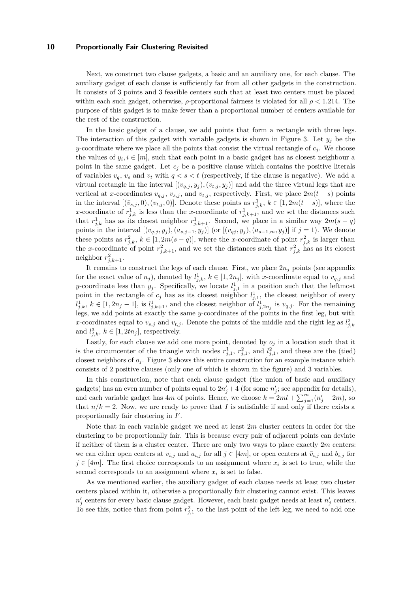Next, we construct two clause gadgets, a basic and an auxiliary one, for each clause. The auxiliary gadget of each clause is sufficiently far from all other gadgets in the construction. It consists of 3 points and 3 feasible centers such that at least two centers must be placed within each such gadget, otherwise, *ρ*-proportional fairness is violated for all *ρ <* 1*.*214. The purpose of this gadget is to make fewer than a proportional number of centers available for the rest of the construction.

In the basic gadget of a clause, we add points that form a rectangle with three legs. The interaction of this gadget with variable gadgets is shown in Figure [3.](#page-10-0) Let  $y_j$  be the *y*-coordinate where we place all the points that consist the virtual rectangle of  $c_j$ . We choose the values of  $y_i, i \in [m]$ , such that each point in a basic gadget has as closest neighbour a point in the same gadget. Let  $c_j$  be a positive clause which contains the positive literals of variables  $v_q$ ,  $v_s$  and  $v_t$  with  $q < s < t$  (respectively, if the clause is negative). We add a virtual rectangle in the interval  $[(v_{q,j}, y_j), (v_{t,j}, y_j)]$  and add the three virtual legs that are vertical at *x*-coordinates  $v_{q,j}$ ,  $v_{s,j}$ , and  $v_{t,j}$ , respectively. First, we place  $2m(t-s)$  points in the interval  $[(\bar{v}_{s,j}, 0), (v_{t,j}, 0)]$ . Denote these points as  $r_{j,k}^1$ ,  $k \in [1, 2m(t-s)]$ , where the *x*-coordinate of  $r_{j,k}^1$  is less than the *x*-coordinate of  $r_{j,k+1}^1$ , and we set the distances such that  $r_{j,k}^1$  has as its closest neighbor  $r_{j,k+1}^1$ . Second, we place in a similar way  $2m(s-q)$ points in the interval  $[(v_{q,j}, y_j), (a_{s,j-1}, y_j)]$  (or  $[(v_{qj}, y_j), (a_{s-1,m}, y_j)]$  if  $j = 1$ ). We denote these points as  $r_{j,k}^2$ ,  $k \in [1, 2m(s - q)]$ , where the *x*-coordinate of point  $r_{j,k}^2$  is larger than the *x*-coordinate of point  $r_{j,k+1}^2$ , and we set the distances such that  $r_{j,k}^2$  has as its closest neighbor  $r_{j,k+1}^2$ .

It remains to construct the legs of each clause. First, we place 2*n<sup>j</sup>* points (see appendix for the exact value of  $n_j$ ), denoted by  $l_{j,k}^1$ ,  $k \in [1, 2n_j]$ , with *x*-coordinate equal to  $v_{q,j}$  and *y*-coordinate less than  $y_j$ . Specifically, we locate  $l_{j,1}^1$  in a position such that the leftmost point in the rectangle of  $c_j$  has as its closest neighbor  $l_{j,1}^1$ , the closest neighbor of every *l*<sup>1</sup><sub>*j*</sub>,*k*, *k* ∈ [1, 2*n*<sub>*j*</sub> − 1], is *l*<sub>1</sub><sub>*j*</sub>,*k*<sub>+1</sub>, and the closest neighbor of  $l$ <sup>1</sup><sub>*j*,2*n*<sub>*j*</sub></sub> is *v*<sub>*q*</sub>*j*. For the remaining legs, we add points at exactly the same *y*-coordinates of the points in the first leg, but with *x*-coordinates equal to  $v_{s,j}$  and  $v_{t,j}$ . Denote the points of the middle and the right leg as  $l_{j,k}^2$ and  $l_{j,k}^3$ ,  $k \in [1, 2tn_j]$ , respectively.

Lastly, for each clause we add one more point, denoted by  $o_j$  in a location such that it is the circumcenter of the triangle with nodes  $r_{j,1}^1$ ,  $r_{j,1}^2$ , and  $l_{j,1}^2$ , and these are the (tied) closest neighbors of  $o_j$ . Figure [3](#page-10-0) shows this entire construction for an example instance which consists of 2 positive clauses (only one of which is shown in the figure) and 3 variables.

In this construction, note that each clause gadget (the union of basic and auxiliary gadgets) has an even number of points equal to  $2n'_{j} + 4$  (for some  $n'_{j}$ ; see appendix for details), and each variable gadget has 4*m* of points. Hence, we choose  $k = 2ml + \sum_{j=1}^{m} (n'_j + 2m)$ , so that  $n/k = 2$ . Now, we are ready to prove that *I* is satisfiable if and only if there exists a proportionally fair clustering in  $I'$ .

Note that in each variable gadget we need at least 2*m* cluster centers in order for the clustering to be proportionally fair. This is because every pair of adjacent points can deviate if neither of them is a cluster center. There are only two ways to place exactly 2*m* centers: we can either open centers at  $v_{i,j}$  and  $a_{i,j}$  for all  $j \in [4m]$ , or open centers at  $\bar{v}_{i,j}$  and  $b_{i,j}$  for  $j \in [4m]$ . The first choice corresponds to an assignment where  $x_i$  is set to true, while the second corresponds to an assignment where  $x_i$  is set to false.

As we mentioned earlier, the auxiliary gadget of each clause needs at least two cluster centers placed within it, otherwise a proportionally fair clustering cannot exist. This leaves  $n'_j$  centers for every basic clause gadget. However, each basic gadget needs at least  $n'_j$  centers. To see this, notice that from point  $r_{j,1}^2$  to the last point of the left leg, we need to add one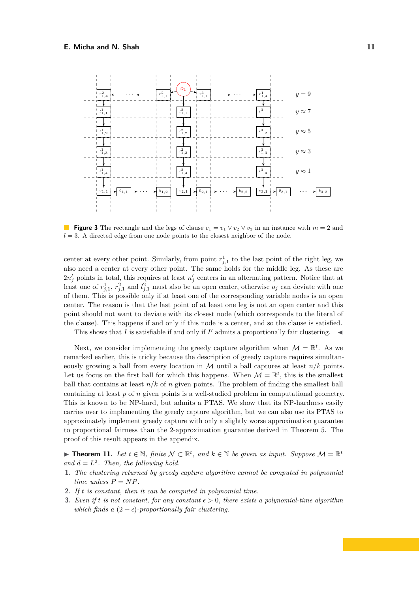<span id="page-10-0"></span>

**Figure 3** The rectangle and the legs of clause  $c_1 = v_1 \vee v_2 \vee v_3$  in an instance with  $m = 2$  and  $l = 3$ . A directed edge from one node points to the closest neighbor of the node.

center at every other point. Similarly, from point  $r_{j,1}^1$  to the last point of the right leg, we also need a center at every other point. The same holds for the middle leg. As these are  $2n'_{j}$  points in total, this requires at least  $n'_{j}$  centers in an alternating pattern. Notice that at least one of  $r_{j,1}^1$ ,  $r_{j,1}^2$  and  $l_{j,1}^2$  must also be an open center, otherwise  $o_j$  can deviate with one of them. This is possible only if at least one of the corresponding variable nodes is an open center. The reason is that the last point of at least one leg is not an open center and this point should not want to deviate with its closest node (which corresponds to the literal of the clause). This happens if and only if this node is a center, and so the clause is satisfied.

This shows that *I* is satisfiable if and only if  $I'$  admits a proportionally fair clustering.  $\triangleleft$ 

Next, we consider implementing the greedy capture algorithm when  $\mathcal{M} = \mathbb{R}^t$ . As we remarked earlier, this is tricky because the description of greedy capture requires simultaneously growing a ball from every location in  $\mathcal M$  until a ball captures at least  $n/k$  points. Let us focus on the first ball for which this happens. When  $\mathcal{M} = \mathbb{R}^t$ , this is the smallest ball that contains at least  $n/k$  of *n* given points. The problem of finding the smallest ball containing at least *p* of *n* given points is a well-studied problem in computational geometry. This is known to be NP-hard, but admits a PTAS. We show that its NP-hardness easily carries over to implementing the greedy capture algorithm, but we can also use its PTAS to approximately implement greedy capture with only a slightly worse approximation guarantee to proportional fairness than the 2-approximation guarantee derived in Theorem [5.](#page-4-0) The proof of this result appears in the appendix.

<span id="page-10-1"></span>▶ **Theorem 11.** Let  $t \in \mathbb{N}$ , finite  $N \subset \mathbb{R}^t$ , and  $k \in \mathbb{N}$  be given as input. Suppose  $M = \mathbb{R}^t$ and  $d = L^2$ . Then, the following hold.

- **1.** *The clustering returned by greedy capture algorithm cannot be computed in polynomial time unless*  $P = NP$ .
- **2.** *If t is constant, then it can be computed in polynomial time.*
- **3.** *Even if t is not constant, for any constant*  $\epsilon > 0$ *, there exists a polynomial-time algorithm which finds a*  $(2 + \epsilon)$ *-proportionally fair clustering.*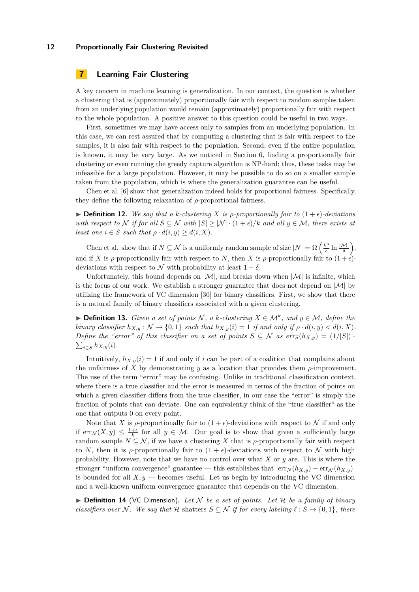# <span id="page-11-0"></span>**7 Learning Fair Clustering**

A key concern in machine learning is generalization. In our context, the question is whether a clustering that is (approximately) proportionally fair with respect to random samples taken from an underlying population would remain (approximately) proportionally fair with respect to the whole population. A positive answer to this question could be useful in two ways.

First, sometimes we may have access only to samples from an underlying population. In this case, we can rest assured that by computing a clustering that is fair with respect to the samples, it is also fair with respect to the population. Second, even if the entire population is known, it may be very large. As we noticed in Section [6,](#page-7-0) finding a proportionally fair clustering or even running the greedy capture algorithm is NP-hard; thus, these tasks may be infeasible for a large population. However, it may be possible to do so on a smaller sample taken from the population, which is where the generalization guarantee can be useful.

Chen et al. [\[6\]](#page-13-0) show that generalization indeed holds for proportional fairness. Specifically, they define the following relaxation of *ρ*-proportional fairness.

 $\triangleright$  **Definition 12.** *We say that a k-clustering X is p-proportionally fair to*  $(1+\epsilon)$ *-deviations with respect to*  $\mathcal N$  *if for all*  $S \subseteq \mathcal N$  *with*  $|S| \ge |\mathcal N| \cdot (1+\epsilon)/k$  *and all*  $y \in \mathcal M$ *, there exists at least one*  $i \in S$  *such that*  $\rho \cdot d(i, y) \geq d(i, X)$ .

Chen et al. show that if  $N \subseteq \mathcal{N}$  is a uniformly random sample of size  $|N| = \Omega \left( \frac{k^3}{\epsilon} \right)$  $\frac{\epsilon^3}{\epsilon} \ln \frac{|{\cal M}|}{\delta},$ and if *X* is  $\rho$ -proportionally fair with respect to *N*, then *X* is  $\rho$ -proportionally fair to  $(1 + \epsilon)$ deviations with respect to N with probability at least  $1 - \delta$ .

Unfortunately, this bound depends on  $|\mathcal{M}|$ , and breaks down when  $|\mathcal{M}|$  is infinite, which is the focus of our work. We establish a stronger guarantee that does not depend on  $|M|$  by utilizing the framework of VC dimension [\[30\]](#page-14-11) for binary classifiers. First, we show that there is a natural family of binary classifiers associated with a given clustering.

▶ **Definition 13.** *Given a set of points*  $N$ , *a k*-*clustering*  $X \in \mathcal{M}^k$ , *and*  $y \in \mathcal{M}$ , *define the binary classifier*  $h_{X,y}: \mathcal{N} \to \{0,1\}$  *such that*  $h_{X,y}(i) = 1$  *if and only if*  $\rho \cdot d(i, y) < d(i, X)$ *. Define the "error" of this classifier on a set of points*  $S \subseteq \mathcal{N}$  *as*  $\text{err}_S(h_{X,y}) = (1/|S|)$ .  $\sum_{i \in S} h_{X,y}(i)$ .

Intuitively,  $h_{X,y}(i) = 1$  if and only if *i* can be part of a coalition that complains about the unfairness of *X* by demonstrating *y* as a location that provides them  $\rho$ -improvement. The use of the term "error" may be confusing. Unlike in traditional classification context, where there is a true classifier and the error is measured in terms of the fraction of points on which a given classifier differs from the true classifier, in our case the "error" is simply the fraction of points that can deviate. One can equivalently think of the "true classifier" as the one that outputs 0 on every point.

Note that *X* is *ρ*-proportionally fair to  $(1 + \epsilon)$ -deviations with respect to *N* if and only if  $\text{err}_{\mathcal{N}}(X, y) \leq \frac{1+\epsilon}{k}$  for all  $y \in \mathcal{M}$ . Our goal is to show that given a sufficiently large random sample  $N \subseteq \mathcal{N}$ , if we have a clustering X that is  $\rho$ -proportionally fair with respect to *N*, then it is *ρ*-proportionally fair to  $(1 + \epsilon)$ -deviations with respect to N with high probability. However, note that we have no control over what *X* or *y* are. This is where the stronger "uniform convergence" guarantee — this establishes that  $|\text{err}_N(h_{X,y}) - \text{err}_N(h_{X,y})|$ is bounded for all  $X, y$  — becomes useful. Let us begin by introducing the VC dimension and a well-known uniform convergence guarantee that depends on the VC dimension.

 $\triangleright$  **Definition 14** (VC Dimension). Let N be a set of points. Let H be a family of binary *classifiers over* N. We say that  $H$  shatters  $S \subseteq N$  *if for every labeling*  $\ell : S \rightarrow \{0,1\}$ *, there*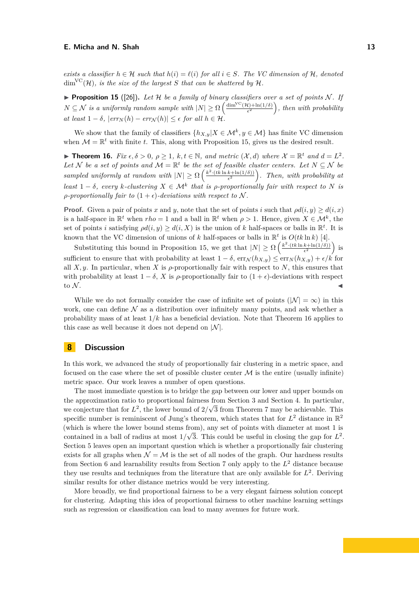*exists a classifier*  $h \in \mathcal{H}$  *such that*  $h(i) = \ell(i)$  *for all*  $i \in S$ *. The VC dimension of*  $\mathcal{H}$ *, denoted*  $\dim^{\text{VC}}(\mathcal{H})$ *, is the size of the largest S that can be shattered by*  $\mathcal{H}$ *.* 

<span id="page-12-0"></span>**Proposition 15** ([\[26\]](#page-14-12)). Let H be a family of binary classifiers over a set of points N. If  $N \subseteq \mathcal{N}$  *is a uniformly random sample with*  $|N| \geq \Omega \left( \frac{\dim^{\text{VC}}(\mathcal{H}) + \ln(1/\delta)}{\epsilon^2} \right)$  $\frac{d}{\epsilon^2}$  (1/8)  $\left( \frac{d}{\epsilon^2} \right)$ , then with probability  $\alpha t$  least  $1 - \delta$ ,  $| \text{err}_N(h) - \text{err}_N(h) | \leq \epsilon$  for all  $h \in \mathcal{H}$ .

We show that the family of classifiers  $\{h_{X,y}|X \in \mathcal{M}^k, y \in \mathcal{M}\}\$  has finite VC dimension when  $\mathcal{M} = \mathbb{R}^t$  with finite *t*. This, along with Proposition [15,](#page-12-0) gives us the desired result.

<span id="page-12-1"></span>▶ **Theorem 16.** *Fix*  $\epsilon, \delta > 0, \ \rho \geq 1, \ k, t \in \mathbb{N}$ , and metric  $(\mathcal{X}, d)$  where  $\mathcal{X} = \mathbb{R}^t$  and  $d = L^2$ . Let N be a set of points and  $\mathcal{M} = \mathbb{R}^t$  be the set of feasible cluster centers. Let  $N \subseteq \mathcal{N}$  be *sampled uniformly at random with*  $|N| \ge \Omega \left( \frac{k^2 \cdot (tk \ln k + \ln(1/\delta))}{\epsilon^2} \right)$  $\frac{k+\ln(1/\delta))}{\epsilon^2}$ . Then, with probability at *least*  $1 - \delta$ *, every k*-*clustering*  $X \in \mathcal{M}^k$  *that is p*-proportionally fair with respect to N is *ρ-proportionally fair to*  $(1 + \epsilon)$ *-deviations with respect to* N.

**Proof.** Given a pair of points *x* and *y*, note that the set of points *i* such that  $\rho d(i, y) \geq d(i, x)$ is a half-space in  $\mathbb{R}^t$  when  $rho = 1$  and a ball in  $\mathbb{R}^t$  when  $\rho > 1$ . Hence, given  $X \in \mathcal{M}^k$ , the set of points *i* satisfying  $\rho d(i, y) \geq d(i, X)$  is the union of *k* half-spaces or balls in  $\mathbb{R}^t$ . It is known that the VC dimension of unions of *k* half-spaces or balls in  $\mathbb{R}^t$  is  $O(t k \ln k)$  [\[4\]](#page-13-17).

Substituting this bound in Proposition [15,](#page-12-0) we get that  $|N| \geq \Omega \left( \frac{k^2 \cdot (t k \ln k + \ln(1/\delta))}{\epsilon^2} \right)$  $\frac{k+\ln(1/\delta))}{\epsilon^2}$  is sufficient to ensure that with probability at least  $1 - \delta$ ,  $\text{err}_{\mathcal{N}}(h_{X,y}) \leq \text{err}_{N}(h_{X,y}) + \epsilon/k$  for all  $X, y$ . In particular, when X is  $\rho$ -proportionally fair with respect to N, this ensures that with probability at least  $1 - \delta$ , *X* is  $\rho$ -proportionally fair to  $(1 + \epsilon)$ -deviations with respect to N.

While we do not formally consider the case of infinite set of points ( $|\mathcal{N}| = \infty$ ) in this work, one can define  $\mathcal N$  as a distribution over infinitely many points, and ask whether a probability mass of at least 1*/k* has a beneficial deviation. Note that Theorem [16](#page-12-1) applies to this case as well because it does not depend on  $|\mathcal{N}|$ .

# **8 Discussion**

In this work, we advanced the study of proportionally fair clustering in a metric space, and focused on the case where the set of possible cluster center  $M$  is the entire (usually infinite) metric space. Our work leaves a number of open questions.

The most immediate question is to bridge the gap between our lower and upper bounds on the approximation ratio to proportional fairness from Section [3](#page-3-0) and Section [4.](#page-5-0) In particular, we conjecture that for  $L^2$ , the lower bound of  $2/\sqrt{3}$  from Theorem [7](#page-5-4) may be achievable. This specific number is reminiscent of Jung's theorem, which states that for  $L^2$  distance in  $\mathbb{R}^2$ (which is where the lower bound stems from), any set of points with diameter at most 1 is contained in a ball of radius at most  $1/\sqrt{3}$ . This could be useful in closing the gap for  $L^2$ . Section [5](#page-5-1) leaves open an important question which is whether a proportionally fair clustering exists for all graphs when  $\mathcal{N} = \mathcal{M}$  is the set of all nodes of the graph. Our hardness results from Section [6](#page-7-0) and learnability results from Section [7](#page-11-0) only apply to the *L* <sup>2</sup> distance because they use results and techniques from the literature that are only available for  $L^2$ . Deriving similar results for other distance metrics would be very interesting.

More broadly, we find proportional fairness to be a very elegant fairness solution concept for clustering. Adapting this idea of proportional fairness to other machine learning settings such as regression or classification can lead to many avenues for future work.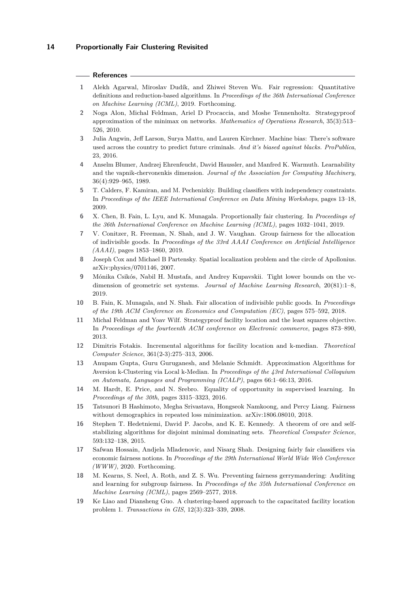#### **References**

- <span id="page-13-3"></span>**1** Alekh Agarwal, Miroslav Dudík, and Zhiwei Steven Wu. Fair regression: Quantitative definitions and reduction-based algorithms. In *Proceedings of the 36th International Conference on Machine Learning (ICML)*, 2019. Forthcoming.
- <span id="page-13-14"></span>**2** Noga Alon, Michal Feldman, Ariel D Procaccia, and Moshe Tennenholtz. Strategyproof approximation of the minimax on networks. *Mathematics of Operations Research*, 35(3):513– 526, 2010.
- <span id="page-13-1"></span>**3** Julia Angwin, Jeff Larson, Surya Mattu, and Lauren Kirchner. Machine bias: There's software used across the country to predict future criminals. *And it's biased against blacks. ProPublica*, 23, 2016.
- <span id="page-13-17"></span>**4** Anselm Blumer, Andrzej Ehrenfeucht, David Haussler, and Manfred K. Warmuth. Learnability and the vapnik-chervonenkis dimension. *Journal of the Association for Computing Machinery*, 36(4):929–965, 1989.
- <span id="page-13-7"></span>**5** T. Calders, F. Kamiran, and M. Pechenizkiy. Building classifiers with independency constraints. In *Proceedings of the IEEE International Conference on Data Mining Workshops*, pages 13–18, 2009.
- <span id="page-13-0"></span>**6** X. Chen, B. Fain, L. Lyu, and K. Munagala. Proportionally fair clustering. In *Proceedings of the 36th International Conference on Machine Learning (ICML)*, pages 1032–1041, 2019.
- <span id="page-13-10"></span>**7** V. Conitzer, R. Freeman, N. Shah, and J. W. Vaughan. Group fairness for the allocation of indivisible goods. In *Proceedings of the 33rd AAAI Conference on Artificial Intelligence (AAAI)*, pages 1853–1860, 2019.
- <span id="page-13-13"></span>**8** Joseph Cox and Michael B Partensky. Spatial localization problem and the circle of Apollonius. arXiv:physics/0701146, 2007.
- **9** Mónika Csikós, Nabil H. Mustafa, and Andrey Kupavskii. Tight lower bounds on the vcdimension of geometric set systems. *Journal of Machine Learning Research*, 20(81):1–8, 2019.
- <span id="page-13-9"></span>**10** B. Fain, K. Munagala, and N. Shah. Fair allocation of indivisible public goods. In *Proceedings of the 19th ACM Conference on Economics and Computation (EC)*, pages 575–592, 2018.
- <span id="page-13-15"></span>**11** Michal Feldman and Yoav Wilf. Strategyproof facility location and the least squares objective. In *Proceedings of the fourteenth ACM conference on Electronic commerce*, pages 873–890, 2013.
- <span id="page-13-4"></span>**12** Dimitris Fotakis. Incremental algorithms for facility location and k-median. *Theoretical Computer Science*, 361(2-3):275–313, 2006.
- <span id="page-13-6"></span>**13** Anupam Gupta, Guru Guruganesh, and Melanie Schmidt. Approximation Algorithms for Aversion k-Clustering via Local k-Median. In *Proceedings of the 43rd International Colloquium on Automata, Languages and Programming (ICALP)*, pages 66:1–66:13, 2016.
- <span id="page-13-8"></span>**14** M. Hardt, E. Price, and N. Srebro. Equality of opportunity in supervised learning. In *Proceedings of the 30th*, pages 3315–3323, 2016.
- <span id="page-13-12"></span>**15** Tatsunori B Hashimoto, Megha Srivastava, Hongseok Namkoong, and Percy Liang. Fairness without demographics in repeated loss minimization. arXiv:1806.08010, 2018.
- <span id="page-13-16"></span>**16** Stephen T. Hedetniemi, David P. Jacobs, and K. E. Kennedy. A theorem of ore and selfstabilizing algorithms for disjoint minimal dominating sets. *Theoretical Computer Science*, 593:132–138, 2015.
- <span id="page-13-2"></span>**17** Safwan Hossain, Andjela Mladenovic, and Nisarg Shah. Designing fairly fair classifiers via economic fairness notions. In *Proceedings of the 29th International World Wide Web Conference (WWW)*, 2020. Forthcoming.
- <span id="page-13-11"></span>**18** M. Kearns, S. Neel, A. Roth, and Z. S. Wu. Preventing fairness gerrymandering: Auditing and learning for subgroup fairness. In *Proceedings of the 35th International Conference on Machine Learning (ICML)*, pages 2569–2577, 2018.
- <span id="page-13-5"></span>**19** Ke Liao and Diansheng Guo. A clustering-based approach to the capacitated facility location problem 1. *Transactions in GIS*, 12(3):323–339, 2008.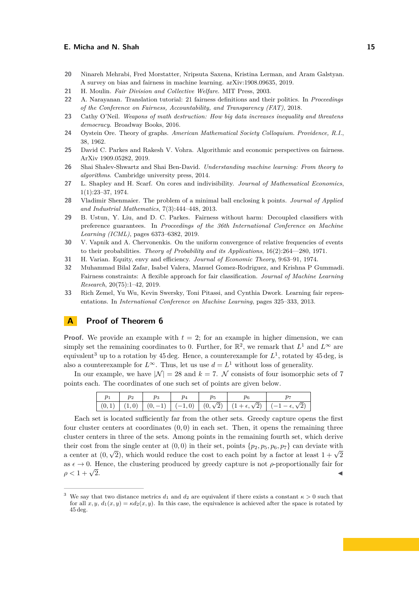- <span id="page-14-3"></span>**20** Ninareh Mehrabi, Fred Morstatter, Nripsuta Saxena, Kristina Lerman, and Aram Galstyan. A survey on bias and fairness in machine learning. arXiv:1908.09635, 2019.
- <span id="page-14-6"></span>**21** H. Moulin. *Fair Division and Collective Welfare*. MIT Press, 2003.
- <span id="page-14-2"></span>**22** A. Narayanan. Translation tutorial: 21 fairness definitions and their politics. In *Proceedings of the Conference on Fairness, Accountability, and Transparency (FAT)*, 2018.
- <span id="page-14-1"></span>**23** Cathy O'Neil. *Weapons of math destruction: How big data increases inequality and threatens democracy*. Broadway Books, 2016.
- <span id="page-14-10"></span>**24** Oystein Ore. Theory of graphs. *American Mathematical Society Colloquium. Providence, R.I.*, 38, 1962.
- <span id="page-14-0"></span>**25** David C. Parkes and Rakesh V. Vohra. Algorithmic and economic perspectives on fairness. ArXiv 1909.05282, 2019.
- <span id="page-14-12"></span>**26** Shai Shalev-Shwartz and Shai Ben-David. *Understanding machine learning: From theory to algorithms*. Cambridge university press, 2014.
- <span id="page-14-9"></span>**27** L. Shapley and H. Scarf. On cores and indivisibility. *Journal of Mathematical Economics*, 1(1):23–37, 1974.
- <span id="page-14-14"></span>**28** Vladimir Shenmaier. The problem of a minimal ball enclosing k points. *Journal of Applied and Industrial Mathematics*, 7(3):444–448, 2013.
- <span id="page-14-7"></span>**29** B. Ustun, Y. Liu, and D. C. Parkes. Fairness without harm: Decoupled classifiers with preference guarantees. In *Proceedings of the 36th International Conference on Machine Learning (ICML)*, pages 6373–6382, 2019.
- <span id="page-14-11"></span>**30** V. Vapnik and A. Chervonenkis. On the uniform convergence of relative frequencies of events to their probabilities. *Theory of Probability and its Applications*, 16(2):264––280, 1971.
- <span id="page-14-8"></span>**31** H. Varian. Equity, envy and efficiency. *Journal of Economic Theory*, 9:63–91, 1974.
- <span id="page-14-5"></span>**32** Muhammad Bilal Zafar, Isabel Valera, Manuel Gomez-Rodriguez, and Krishna P Gummadi. Fairness constraints: A flexible approach for fair classification. *Journal of Machine Learning Research*, 20(75):1–42, 2019.
- <span id="page-14-4"></span>**33** Rich Zemel, Yu Wu, Kevin Swersky, Toni Pitassi, and Cynthia Dwork. Learning fair representations. In *International Conference on Machine Learning*, pages 325–333, 2013.

# **A Proof of Theorem [6](#page-4-1)**

**Proof.** We provide an example with  $t = 2$ ; for an example in higher dimension, we can simply set the remaining coordinates to 0. Further, for  $\mathbb{R}^2$ , we remark that  $L^1$  and  $L^{\infty}$  are equivalent<sup>[3](#page-14-13)</sup> up to a rotation by 45 deg. Hence, a counterexample for  $L^1$ , rotated by 45 deg, is also a counterexample for  $L^{\infty}$ . Thus, let us use  $d = L^1$  without loss of generality.

In our example, we have  $|\mathcal{N}| = 28$  and  $k = 7$ . N consists of four isomorphic sets of 7 points each. The coordinates of one such set of points are given below.

| $p_1$ | $\begin{array}{ccc} & p_2 & \end{array}$ |  |  |  |
|-------|------------------------------------------|--|--|--|
|       |                                          |  |  |  |

Each set is located sufficiently far from the other sets. Greedy capture opens the first four cluster centers at coordinates (0*,* 0) in each set. Then, it opens the remaining three cluster centers in three of the sets. Among points in the remaining fourth set, which derive their cost from the single center at  $(0,0)$  in their set, points  $\{p_2, p_5, p_6, p_7\}$  can deviate with a center at  $(0, \sqrt{2})$ , which would reduce the cost to each point by a factor at least  $1 + \sqrt{2}$ as  $\epsilon \to 0$ . Hence, the clustering produced by greedy capture is not  $\rho$ -proportionally fair for  $\rho < 1 + \sqrt{2}$ .  $\overline{2}$ .

<span id="page-14-13"></span><sup>&</sup>lt;sup>3</sup> We say that two distance metrics  $d_1$  and  $d_2$  are equivalent if there exists a constant  $\kappa > 0$  such that for all  $x, y, d_1(x, y) = \kappa d_2(x, y)$ . In this case, the equivalence is achieved after the space is rotated by 45 deg.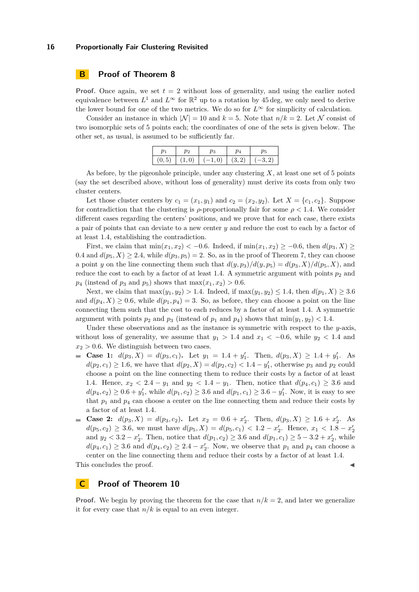# **B Proof of Theorem [8](#page-5-3)**

**Proof.** Once again, we set  $t = 2$  without loss of generality, and using the earlier noted equivalence between  $L^1$  and  $L^\infty$  for  $\mathbb{R}^2$  up to a rotation by 45 deg, we only need to derive the lower bound for one of the two metrics. We do so for  $L^\infty$  for simplicity of calculation.

Consider an instance in which  $|\mathcal{N}| = 10$  and  $k = 5$ . Note that  $n/k = 2$ . Let N consist of two isomorphic sets of 5 points each; the coordinates of one of the sets is given below. The other set, as usual, is assumed to be sufficiently far.

|  | $(0,5)$ $(1,0)$ $(-1,0)$ $(3,2)$ $(-3,2)$ |  |
|--|-------------------------------------------|--|

As before, by the pigeonhole principle, under any clustering *X*, at least one set of 5 points (say the set described above, without loss of generality) must derive its costs from only two cluster centers.

Let those cluster centers by  $c_1 = (x_1, y_1)$  and  $c_2 = (x_2, y_2)$ . Let  $X = \{c_1, c_2\}$ . Suppose for contradiction that the clustering is  $\rho$ -proportionally fair for some  $\rho < 1.4$ . We consider different cases regarding the centers' positions, and we prove that for each case, there exists a pair of points that can deviate to a new center *y* and reduce the cost to each by a factor of at least 1*.*4, establishing the contradiction.

First, we claim that  $\min(x_1, x_2) < -0.6$ . Indeed, if  $\min(x_1, x_2) \ge -0.6$ , then  $d(p_3, X) \ge$ 0.4 and  $d(p_5, X) \geq 2.4$ , while  $d(p_3, p_5) = 2$ . So, as in the proof of Theorem [7,](#page-5-4) they can choose a point *y* on the line connecting them such that  $d(y, p_3)/d(y, p_5) = d(p_3, X)/d(p_5, X)$ , and reduce the cost to each by a factor of at least 1.4. A symmetric argument with points  $p_2$  and  $p_4$  (instead of  $p_3$  and  $p_5$ ) shows that  $\max(x_1, x_2) > 0.6$ .

Next, we claim that  $\max(y_1, y_2) > 1.4$ . Indeed, if  $\max(y_1, y_2) \le 1.4$ , then  $d(p_1, X) \ge 3.6$ and  $d(p_4, X) \geq 0.6$ , while  $d(p_1, p_4) = 3$ . So, as before, they can choose a point on the line connecting them such that the cost to each reduces by a factor of at least 1*.*4. A symmetric argument with points  $p_2$  and  $p_3$  (instead of  $p_1$  and  $p_4$ ) shows that  $\min(y_1, y_2)$  < 1.4.

Under these observations and as the instance is symmetric with respect to the *y*-axis, without loss of generality, we assume that  $y_1 > 1.4$  and  $x_1 < -0.6$ , while  $y_2 < 1.4$  and  $x_2 > 0.6$ . We distinguish between two cases.

- **Case 1:**  $d(p_3, X) = d(p_3, c_1)$ . Let  $y_1 = 1.4 + y'_1$ . Then,  $d(p_3, X) \ge 1.4 + y'_1$ . As  $d(p_2, c_1) \ge 1.6$ , we have that  $d(p_2, X) = d(p_2, c_2) < 1.4 - y_1'$ , otherwise  $p_3$  and  $p_2$  could choose a point on the line connecting them to reduce their costs by a factor of at least 1.4. Hence,  $x_2 < 2.4 - y_1$  and  $y_2 < 1.4 - y_1$ . Then, notice that  $d(p_4, c_1) \geq 3.6$  and  $d(p_4, c_2) \geq 0.6 + y'_1$ , while  $d(p_1, c_2) \geq 3.6$  and  $d(p_1, c_1) \geq 3.6 - y'_1$ . Now, it is easy to see that  $p_1$  and  $p_4$  can choose a center on the line connecting them and reduce their costs by a factor of at least 1*.*4.
- **Case 2:**  $d(p_3, X) = d(p_3, c_2)$ . Let  $x_2 = 0.6 + x'_2$ . Then,  $d(p_3, X) \ge 1.6 + x'_2$ . As  $d(p_5, c_2) \geq 3.6$ , we must have  $d(p_5, X) = d(p_5, c_1) < 1.2 - x'_2$ . Hence,  $x_1 < 1.8 - x'_2$ and  $y_2 < 3.2 - x'_2$ . Then, notice that  $d(p_1, c_2) \ge 3.6$  and  $d(p_1, c_1) \ge 5 - 3.2 + x'_2$ , while  $d(p_4, c_1) \geq 3.6$  and  $d(p_4, c_2) \geq 2.4 - x_2'$ . Now, we observe that  $p_1$  and  $p_4$  can choose a center on the line connecting them and reduce their costs by a factor of at least 1*.*4.

This concludes the proof.

# **C Proof of Theorem [10](#page-8-2)**

**Proof.** We begin by proving the theorem for the case that  $n/k = 2$ , and later we generalize it for every case that  $n/k$  is equal to an even integer.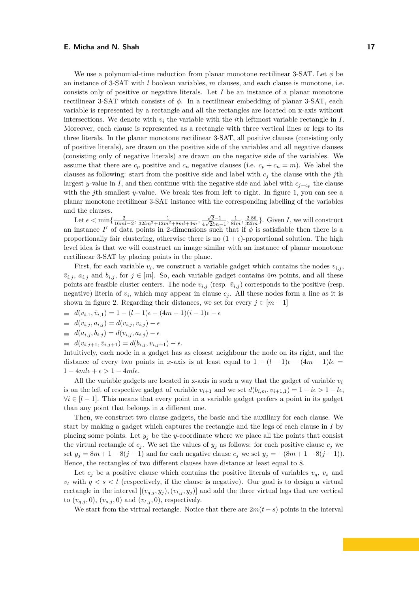We use a polynomial-time reduction from planar monotone rectilinear 3-SAT. Let *φ* be an instance of 3-SAT with *l* boolean variables, *m* clauses, and each clause is monotone, i.e. consists only of positive or negative literals. Let *I* be an instance of a planar monotone rectilinear 3-SAT which consists of *φ*. In a rectilinear embedding of planar 3-SAT, each variable is represented by a rectangle and all the rectangles are located on x-axis without intersections. We denote with  $v_i$  the variable with the *i*th leftmost variable rectangle in  $I$ . Moreover, each clause is represented as a rectangle with three vertical lines or legs to its three literals. In the planar monotone rectilinear 3-SAT, all positive clauses (consisting only of positive literals), are drawn on the positive side of the variables and all negative clauses (consisting only of negative literals) are drawn on the negative side of the variables. We assume that there are  $c_p$  positive and  $c_n$  negative clauses (i.e.  $c_p + c_n = m$ ). We label the clauses as following: start from the positive side and label with  $c_j$  the clause with the *j*th largest *y*-value in *I*, and then continue with the negative side and label with  $c_{j+c_p}$  the clause with the *j*th smallest *y*-value. We break ties from left to right. In figure [1,](#page-8-0) you can see a planar monotone rectilinear 3-SAT instance with the corresponding labelling of the variables and the clauses.

Let  $\epsilon < \min\{\frac{2}{16ml-2}, \frac{1}{32lm^2+12m^2+8ml+4m}, \frac{\sqrt{2}-1}{4\sqrt{2}lm^2}\}$  $\frac{\sqrt{2}-1}{4\sqrt{2}lm-1}, \frac{1}{8lm}, \frac{2.86}{32lm}$ . Given *I*, we will construct an instance *I'* of data points in 2-dimensions such that if  $\phi$  is satisfiable then there is a proportionally fair clustering, otherwise there is no  $(1 + \epsilon)$ -proportional solution. The high level idea is that we will construct an image similar with an instance of planar monotone rectilinear 3-SAT by placing points in the plane.

First, for each variable  $v_i$ , we construct a variable gadget which contains the nodes  $v_{i,j}$ ,  $\bar{v}_{i,j}$ ,  $a_{i,j}$  and  $b_{i,j}$ , for  $j \in [m]$ . So, each variable gadget contains 4*m* points, and all these points are feasible cluster centers. The node  $v_{i,j}$  (resp.  $\bar{v}_{i,j}$ ) corresponds to the positive (resp. negative) literla of  $v_i$ , which may appear in clause  $c_j$ . All these nodes form a line as it is shown in figure [2.](#page-8-1) Regarding their distances, we set for every  $j \in [m-1]$ 

- $d(v_{i,1}, \bar{v}_{i,1}) = 1 (l-1)\epsilon (4m-1)(i-1)\epsilon \epsilon$
- $d(\bar{v}_{i,j}, a_{i,j}) = d(v_{i,j}, \bar{v}_{i,j}) \epsilon$
- $d(a_{i,j}, b_{i,j}) = d(\bar{v}_{i,j}, a_{i,j}) \epsilon$
- $d(v_{i,j+1}, \bar{v}_{i,j+1}) = d(b_{i,j}, v_{i,j+1}) \epsilon.$

Intuitively, each node in a gadget has as closest neighbour the node on its right, and the distance of every two points in *x*-axis is at least equal to  $1 - (l - 1)\epsilon - (4m - 1)l\epsilon =$  $1 - 4m l\epsilon + \epsilon > 1 - 4m l\epsilon.$ 

All the variable gadgets are located in x-axis in such a way that the gadget of variable  $v_i$ is on the left of respective gadget of variable  $v_{i+1}$  and we set  $d(b_{i,m}, v_{i+1,1}) = 1 - i\epsilon > 1 - i\epsilon$ .  $\forall i \in [l-1]$ . This means that every point in a variable gadget prefers a point in its gadget than any point that belongs in a different one.

Then, we construct two clause gadgets, the basic and the auxiliary for each clause. We start by making a gadget which captures the rectangle and the legs of each clause in *I* by placing some points. Let  $y_j$  be the *y*-coordinate where we place all the points that consist the virtual rectangle of  $c_j$ . We set the values of  $y_j$  as follows: for each positive clause  $c_j$  we set  $y_j = 8m + 1 - 8(j - 1)$  and for each negative clause  $c_j$  we set  $y_j = -(8m + 1 - 8(j - 1))$ . Hence, the rectangles of two different clauses have distance at least equal to 8.

Let  $c_i$  be a positive clause which contains the positive literals of variables  $v_q$ ,  $v_s$  and  $v_t$  with  $q < s < t$  (respectively, if the clause is negative). Our goal is to design a virtual rectangle in the interval  $[(v_{q,j}, y_j), (v_{t,j}, y_j)]$  and add the three virtual legs that are vertical to  $(v_{q,j}, 0)$ ,  $(v_{s,j}, 0)$  and  $(v_{t,j}, 0)$ , respectively.

We start from the virtual rectangle. Notice that there are  $2m(t-s)$  points in the interval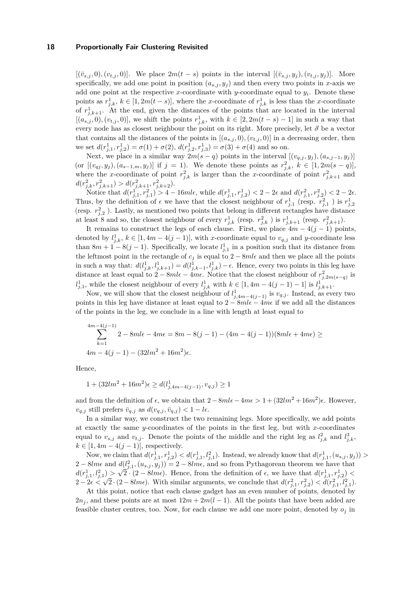$[(\bar{v}_{s,i},0),(v_{t,i},0)]$ . We place  $2m(t-s)$  points in the interval  $[(\bar{v}_{s,i},y_i),(v_{t,i},y_i)]$ . More specifically, we add one point in position  $(a_{s,i}, y_i)$  and then every two points in *x*-axis we add one point at the respective *x*-coordinate with *y*-coordinate equal to *y<sup>i</sup>* . Denote these points as  $r_{j,k}^1$ ,  $k \in [1, 2m(t-s)]$ , where the *x*-coordinate of  $r_{j,k}^1$  is less than the *x*-coordinate of  $r_{j,k+1}^1$ . At the end, given the distances of the points that are located in the interval  $[(a_{s,j}, 0), (v_{t,j}, 0)]$ , we shift the points  $r_{j,k}^1$ , with  $k \in [2, 2m(t - s) - 1]$  in such a way that every node has as closest neighbour the point on its right. More precisely, let  $\vec{\sigma}$  be a vector that contains all the distances of the points in  $[(a_{s,j}, 0), (v_{t,j}, 0)]$  in a decreasing order, then we set  $d(r_{j,1}^1, r_{j,2}^1) = \sigma(1) + \sigma(2), d(r_{j,2}^1, r_{j,3}^1) = \sigma(3) + \sigma(4)$  and so on.

Next, we place in a similar way  $2m(s - q)$  points in the interval  $[(v_{q,j}, y_j), (a_{s,j-1}, y_j)]$  $(\text{or } [(v_{qj}, y_j), (a_{s-1,m}, y_j)] \text{ if } j = 1).$  We denote these points as  $r_{j,k}^2$ ,  $k \in [1, 2m(s-q)],$ where the *x*-coordinate of point  $r_{j,k}^2$  is larger than the *x*-coordinate of point  $r_{j,k+1}^2$  and  $d(r_{j,k}^2, r_{j,k+1}^2) > d(r_{j,k+1}^2, r_{j,k+2}^2).$ 

Notice that  $d(r_{j,1}^1, r_{j,1}^2) > 4 - 16m l\epsilon$ , while  $d(r_{j,1}^1, r_{j,2}^1) < 2 - 2\epsilon$  and  $d(r_{j,1}^2, r_{j,2}^2) < 2 - 2\epsilon$ . Thus, by the definition of  $\epsilon$  we have that the closest neighbour of  $r_{j,1}^1$  (resp.  $r_{j,1}^2$ ) is  $r_{j,2}^1$ (resp.  $r_{j,2}^2$ ). Lastly, as mentioned two points that belong in different rectangles have distance at least 8 and so, the closest neighbour of every  $r_{j,k}^1$  (resp.  $r_{j,k}^2$ ) is  $r_{j,k+1}^1$  (resp.  $r_{j,k+1}^2$ ).

It remains to construct the legs of each clause. First, we place  $4m - 4(j - 1)$  points, denoted by  $l_{j,k}^1$ ,  $k \in [1, 4m - 4(j - 1)]$ , with *x*-coordinate equal to  $v_{q,j}$  and *y*-coordinate less than  $8m + 1 - 8(j - 1)$ . Specifically, we locate  $l_{j,1}^1$  in a position such that its distance from the leftmost point in the rectangle of  $c_j$  is equal to  $2 - 8m\ell$  and then we place all the points in such a way that:  $d(l_{j,k}^1, l_{j,k+1}^1) = d(l_{j,k-1}^1, l_{j,k}^1) - \epsilon$ . Hence, every two points in this leg have distance at least equal to  $2 - 8m\ell - 4m\epsilon$ . Notice that the closest neighbour of  $r_{j,2m(s-q)}^2$  is  $l_{j,1}^1$ , while the closest neighbour of every  $l_{j,k}^1$  with  $k \in [1, 4m - 4(j - 1) - 1]$  is  $l_{j,k+1}^1$ .

Now, we will show that the closest neighbour of  $l_{j,4m-4(j-1)}^1$  is  $v_{q,j}$ . Instead, as every two points in this leg have distance at least equal to  $2 - 8m\ell - 4m\epsilon$  if we add all the distances of the points in the leg, we conclude in a line with length at least equal to

$$
\sum_{k=1}^{4m-4(j-1)} 2 - 8m l \epsilon - 4m \epsilon = 8m - 8(j-1) - (4m - 4(j-1))(8m l \epsilon + 4m \epsilon) \ge
$$
  
 
$$
4m - 4(j-1) - (32l m^2 + 16m^2)\epsilon.
$$

Hence,

$$
1 + (32lm^{2} + 16m^{2})\epsilon \ge d(l_{j,4m-4(j-1)}^{1}, v_{q,j}) \ge 1
$$

and from the definition of  $\epsilon$ , we obtain that  $2 - 8m l \epsilon - 4m \epsilon > 1 + (32l m^2 + 16m^2)\epsilon$ . However,  $v_{q,j}$  still prefers  $\bar{v}_{q,j}$  as  $d(v_{q,j}, \bar{v}_{q,j}) < 1 - l\epsilon$ .

In a similar way, we construct the two remaining legs. More specifically, we add points at exactly the same *y*-coordinates of the points in the first leg, but with *x*-coordinates equal to  $v_{s,j}$  and  $v_{t,j}$ . Denote the points of the middle and the right leg as  $l_{j,k}^2$  and  $l_{j,k}^3$ ,  $k \in [1, 4m - 4(j - 1)],$  respectively.

Now, we claim that  $d(r_{j,1}^1, r_{j,2}^1) < d(r_{j,1}^1, l_{j,1}^2)$ . Instead, we already know that  $d(r_{j,1}^1, (u_{s,j}, y_j)) >$  $2 - 8lme$  and  $d(l_{j,1}^2, (u_{s,j}, y_j)) = 2 - 8lme$ , and so from Pythagorean theorem we have that  $d(r_{j,1}^1, l_{j,1}^2) > \sqrt{2} \cdot (2 - 8lm\epsilon)$ . Hence, from the definition of  $\epsilon$ , we have that  $d(r_{j,1}^1, r_{j,2}^1) <$  $\alpha(r_{j,1}, r_{j,1}) > \sqrt{2} \cdot (2 - \text{atme})$ . Hence, from the definition of  $\epsilon$ , we have that  $\alpha(r_{j,1}, r_{j,2}) < 2 - 2\epsilon < \sqrt{2} \cdot (2 - 8lm\epsilon)$ . With similar arguments, we conclude that  $d(r_{j,1}^2, r_{j,2}^2) < d(r_{j,1}^2, l_{j,1}^2)$ .

At this point, notice that each clause gadget has an even number of points, denoted by  $2n_j$ , and these points are at most  $12m + 2m(l-1)$ . All the points that have been added are feasible cluster centres, too. Now, for each clause we add one more point, denoted by *o<sup>j</sup>* in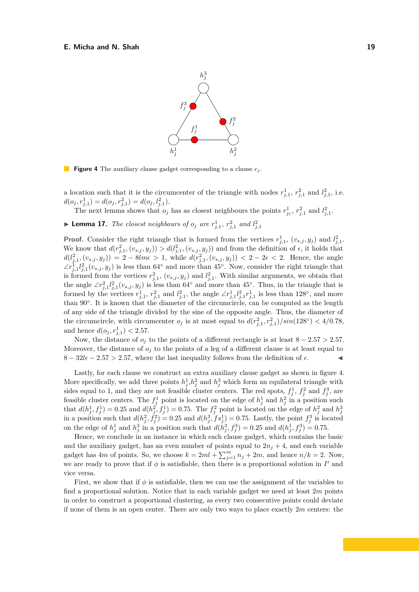<span id="page-18-0"></span>

**Figure 4** The auxiliary clause gadget corresponding to a clause  $c_j$ .

a location such that it is the circumcenter of the triangle with nodes  $r_{j,1}^1$ ,  $r_{j,1}^2$  and  $l_{j,1}^2$ , i.e.  $d(o_j, r_{j,1}^1) = d(o_j, r_{j,1}^2) = d(o_j, l_{j,1}^2).$ 

The next lemma shows that  $o_j$  has as closest neighbours the points  $r_{j_1}^1$ ,  $r_{j,1}^2$  and  $l_{j,1}^2$ .

**Example 17.** *The closest neighbours of*  $o_j$  *are*  $r_{j,1}^1$ ,  $r_{j,1}^2$  and  $l_{j,1}^2$ 

**Proof.** Consider the right triangle that is formed from the vertices  $r_{j,1}^1$ ,  $(v_{s,j}, y_j)$  and  $l_{j,1}^2$ . We know that  $d(r_{j,1}^2, (v_{s,j}, y_j)) > d(l_{j,1}^2, (v_{s,j}, y_j))$  and from the definition of  $\epsilon$ , it holds that  $d(l_{j,1}^2,(v_{s,j},y_j)) = 2 - 8lm\epsilon > 1$ , while  $d(r_{j,1}^2,(v_{s,j},y_j)) < 2 - 2\epsilon < 2$ . Hence, the angle  $\angle r_{j,1}^1 l_{j,1}^2 (v_{s,j}, y_j)$  is less than 64<sup>°</sup> and more than 45<sup>°</sup>. Now, consider the right triangle that is formed from the vertices  $r_{j,1}^2$ ,  $(v_{s,j}, y_j)$  and  $l_{j,1}^2$ . With similar arguments, we obtain that the angle  $\angle r_{j,1}^2 l_{j,1}^2 (v_{s,j}, y_j)$  is less than 64<sup>°</sup> and more than 45<sup>°</sup>. Thus, in the triangle that is formed by the vertices  $r_{j,1}^1$ ,  $r_{j,1}^2$  and  $l_{j,1}^2$ , the angle  $\angle r_{j,1}^1 l_{j,1}^2 r_{j,1}^1$  is less than 128<sup>°</sup>, and more than 90◦ . It is known that the diameter of the circumcircle, can be computed as the length of any side of the triangle divided by the sine of the opposite angle. Thus, the diameter of the circumcircle, with circumcenter  $o_j$  is at most equal to  $d(r_{j,1}^2, r_{j,1}^2)/sin(128°) < 4/0.78$ , and hence  $d(o_j, r_{j,1}^1) < 2.57$ .

Now, the distance of  $o_j$  to the points of a different rectangle is at least  $8 - 2.57 > 2.57$ . Moreover, the distance of  $o_j$  to the points of a leg of a different clause is at least equal to  $8 - 32l\epsilon - 2.57 > 2.57$ , where the last inequality follows from the definition of  $\epsilon$ .

Lastly, for each clause we construct an extra auxiliary clause gadget as shown in figure [4.](#page-18-0) More specifically, we add three points  $h_j^1, h_j^2$  and  $h_j^3$  which form an equilateral triangle with sides equal to 1, and they are not feasible cluster centers. The red spots,  $f_j^1$ ,  $f_j^2$  and  $f_j^3$ , are feasible cluster centers. The  $f_j^1$  point is located on the edge of  $h_j^1$  and  $h_j^2$  in a position such that  $d(h_j^1, f_j^1) = 0.25$  and  $d(h_j^2, f_j^1) = 0.75$ . The  $f_j^2$  point is located on the edge of  $h_j^2$  and  $h_j^3$ in a position such that  $d(h_j^2, f_j^2) = 0.25$  and  $d(h_j^3, fs_j^1) = 0.75$ . Lastly, the point  $f_j^3$  is located on the edge of  $h_j^1$  and  $h_j^3$  in a position such that  $d(h_j^3, f_j^3) = 0.25$  and  $d(h_j^1, f_j^3) = 0.75$ .

Hence, we conclude in an instance in which each clause gadget, which contains the basic and the auxiliary gadget, has an even number of points equal to  $2n_j + 4$ , and each variable gadget has 4*m* of points. So, we choose  $k = 2ml + \sum_{j=1}^{m} n_j + 2m$ , and hence  $n/k = 2$ . Now, we are ready to prove that if  $\phi$  is satisfiable, then there is a proportional solution in  $I'$  and vice versa.

First, we show that if  $\phi$  is satisfiable, then we can use the assignment of the variables to find a proportional solution. Notice that in each variable gadget we need at least 2*m* points in order to construct a proportional clustering, as every two consecutive points could deviate if none of them is an open center. There are only two ways to place exactly 2*m* centers: the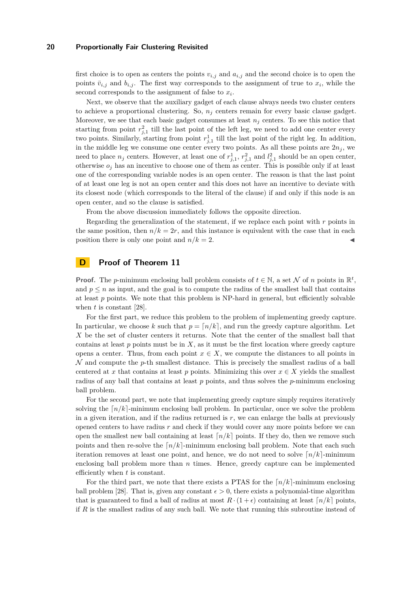first choice is to open as centers the points  $v_{i,j}$  and  $a_{i,j}$  and the second choice is to open the points  $\bar{v}_{i,j}$  and  $b_{i,j}$ . The first way corresponds to the assignment of true to  $x_i$ , while the second corresponds to the assignment of false to *x<sup>i</sup>* .

Next, we observe that the auxiliary gadget of each clause always needs two cluster centers to achieve a proportional clustering. So,  $n_j$  centers remain for every basic clause gadget. Moreover, we see that each basic gadget consumes at least  $n<sub>j</sub>$  centers. To see this notice that starting from point  $r_{j,1}^2$  till the last point of the left leg, we need to add one center every two points. Similarly, starting from point  $r_{j,1}^1$  till the last point of the right leg. In addition, in the middle leg we consume one center every two points. As all these points are  $2n_j$ , we need to place  $n_j$  centers. However, at least one of  $r_{j,1}^1$ ,  $r_{j,1}^2$  and  $l_{j,1}^2$  should be an open center, otherwise  $o_j$  has an incentive to choose one of them as center. This is possible only if at least one of the corresponding variable nodes is an open center. The reason is that the last point of at least one leg is not an open center and this does not have an incentive to deviate with its closest node (which corresponds to the literal of the clause) if and only if this node is an open center, and so the clause is satisfied.

From the above discussion immediately follows the opposite direction.

Regarding the generalization of the statement, if we replace each point with *r* points in the same position, then  $n/k = 2r$ , and this instance is equivalent with the case that in each position there is only one point and  $n/k = 2$ .

# **D Proof of Theorem [11](#page-10-1)**

**Proof.** The *p*-minimum enclosing ball problem consists of  $t \in \mathbb{N}$ , a set N of *n* points in  $\mathbb{R}^t$ , and  $p \leq n$  as input, and the goal is to compute the radius of the smallest ball that contains at least *p* points. We note that this problem is NP-hard in general, but efficiently solvable when *t* is constant [\[28\]](#page-14-14).

For the first part, we reduce this problem to the problem of implementing greedy capture. In particular, we choose *k* such that  $p = \lfloor n/k \rfloor$ , and run the greedy capture algorithm. Let *X* be the set of cluster centers it returns. Note that the center of the smallest ball that contains at least  $p$  points must be in  $X$ , as it must be the first location where greedy capture opens a center. Thus, from each point  $x \in X$ , we compute the distances to all points in N and compute the *p*-th smallest distance. This is precisely the smallest radius of a ball centered at *x* that contains at least *p* points. Minimizing this over  $x \in X$  yields the smallest radius of any ball that contains at least *p* points, and thus solves the *p*-minimum enclosing ball problem.

For the second part, we note that implementing greedy capture simply requires iteratively solving the  $\lceil n/k \rceil$ -minimum enclosing ball problem. In particular, once we solve the problem in a given iteration, and if the radius returned is *r*, we can enlarge the balls at previously opened centers to have radius *r* and check if they would cover any more points before we can open the smallest new ball containing at least  $\lfloor n/k \rfloor$  points. If they do, then we remove such points and then re-solve the  $\lceil n/k \rceil$ -minimum enclosing ball problem. Note that each such iteration removes at least one point, and hence, we do not need to solve  $\lceil n/k \rceil$ -minimum enclosing ball problem more than *n* times. Hence, greedy capture can be implemented efficiently when *t* is constant.

For the third part, we note that there exists a PTAS for the  $\lceil n/k \rceil$ -minimum enclosing ball problem [\[28\]](#page-14-14). That is, given any constant  $\epsilon > 0$ , there exists a polynomial-time algorithm that is guaranteed to find a ball of radius at most  $R \cdot (1+\epsilon)$  containing at least  $\lceil n/k \rceil$  points, if *R* is the smallest radius of any such ball. We note that running this subroutine instead of